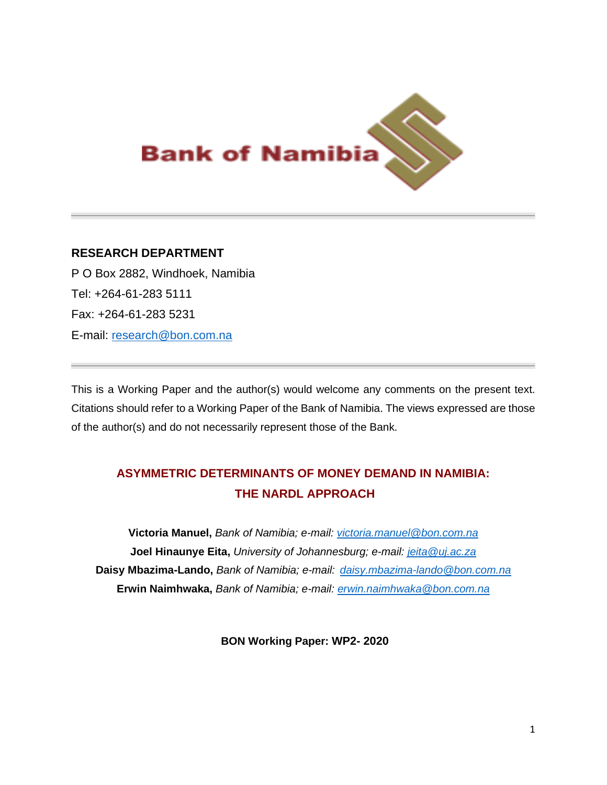

# **RESEARCH DEPARTMENT**

P O Box 2882, Windhoek, Namibia Tel: +264-61-283 5111 Fax: +264-61-283 5231 E-mail: [research@bon.com.na](mailto:research@bon.com.na)

This is a Working Paper and the author(s) would welcome any comments on the present text. Citations should refer to a Working Paper of the Bank of Namibia. The views expressed are those of the author(s) and do not necessarily represent those of the Bank.

# **ASYMMETRIC DETERMINANTS OF MONEY DEMAND IN NAMIBIA: THE NARDL APPROACH**

**Victoria Manuel,** *Bank of Namibia; e-mail: [victoria.manuel@bon.com.na](mailto:victoria.manuel@bon.com.na)* **Joel Hinaunye Eita,** *University of Johannesburg; e-mail: [jeita@uj.ac.za](mailto:jeita@uj.ac.za)* **Daisy Mbazima-Lando,** *Bank of Namibia; e-mail: [daisy.mbazima-lando@bon.com.na](mailto:daisy.mbazima-lando@bon.com.na)* **Erwin Naimhwaka,** *Bank of Namibia; e-mail: [erwin.naimhwaka@bon.com.na](mailto:erwin.naimhwaka@bon.com.na)*

**BON Working Paper: WP2- 2020**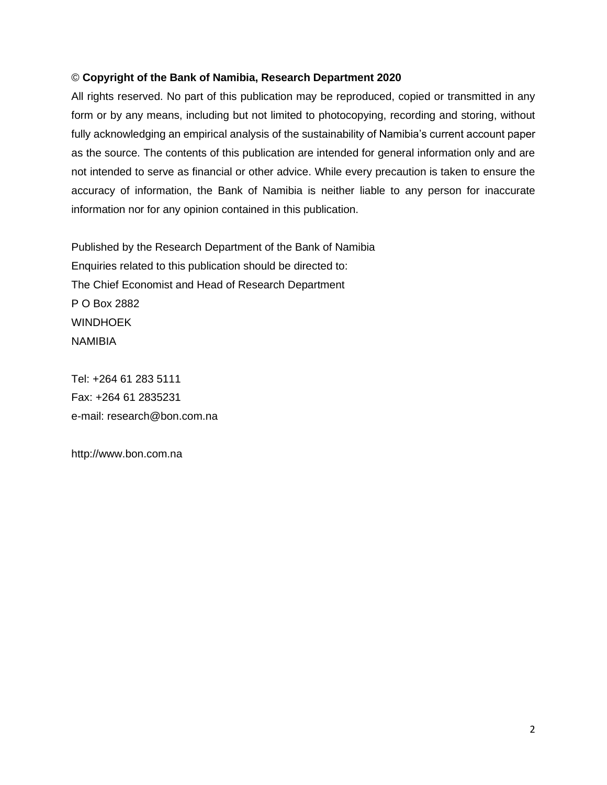### © **Copyright of the Bank of Namibia, Research Department 2020**

All rights reserved. No part of this publication may be reproduced, copied or transmitted in any form or by any means, including but not limited to photocopying, recording and storing, without fully acknowledging an empirical analysis of the sustainability of Namibia's current account paper as the source. The contents of this publication are intended for general information only and are not intended to serve as financial or other advice. While every precaution is taken to ensure the accuracy of information, the Bank of Namibia is neither liable to any person for inaccurate information nor for any opinion contained in this publication.

Published by the Research Department of the Bank of Namibia Enquiries related to this publication should be directed to: The Chief Economist and Head of Research Department P O Box 2882 WINDHOEK NAMIBIA

Tel: +264 61 283 5111 Fax: +264 61 2835231 e-mail: [research@bon.com.na](mailto:research@bon.com.na)

http://www.bon.com.na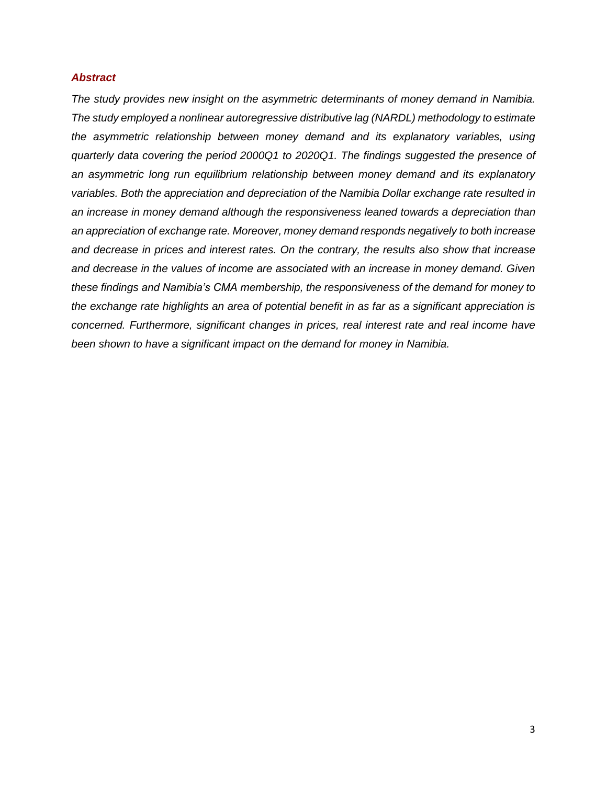#### *Abstract*

*The study provides new insight on the asymmetric determinants of money demand in Namibia. The study employed a nonlinear autoregressive distributive lag (NARDL) methodology to estimate the asymmetric relationship between money demand and its explanatory variables, using quarterly data covering the period 2000Q1 to 2020Q1. The findings suggested the presence of an asymmetric long run equilibrium relationship between money demand and its explanatory variables. Both the appreciation and depreciation of the Namibia Dollar exchange rate resulted in an increase in money demand although the responsiveness leaned towards a depreciation than an appreciation of exchange rate. Moreover, money demand responds negatively to both increase and decrease in prices and interest rates. On the contrary, the results also show that increase and decrease in the values of income are associated with an increase in money demand. Given these findings and Namibia's CMA membership, the responsiveness of the demand for money to the exchange rate highlights an area of potential benefit in as far as a significant appreciation is concerned. Furthermore, significant changes in prices, real interest rate and real income have been shown to have a significant impact on the demand for money in Namibia.*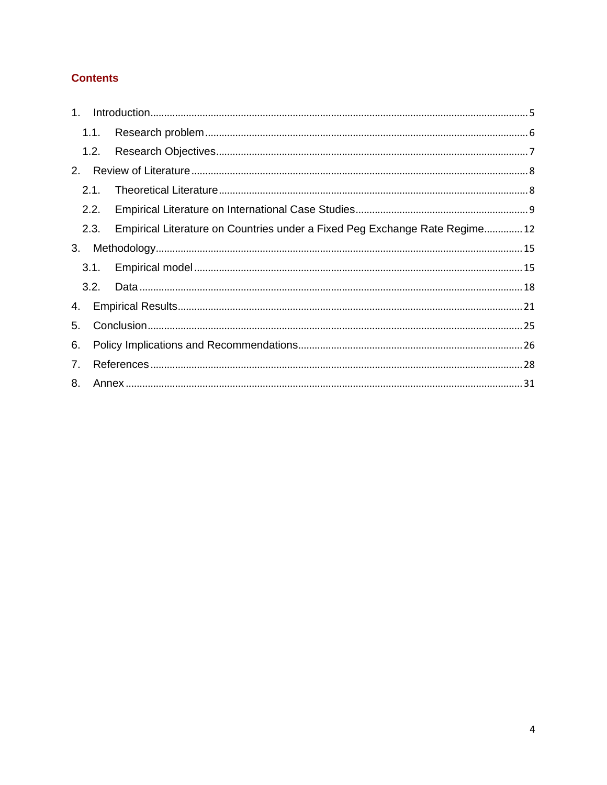# **Contents**

| 1. |      |                                                                             |  |  |  |  |
|----|------|-----------------------------------------------------------------------------|--|--|--|--|
|    | 1.1. |                                                                             |  |  |  |  |
|    |      |                                                                             |  |  |  |  |
| 2. |      |                                                                             |  |  |  |  |
|    | 2.1. |                                                                             |  |  |  |  |
|    | 2.2. |                                                                             |  |  |  |  |
|    | 2.3. | Empirical Literature on Countries under a Fixed Peg Exchange Rate Regime 12 |  |  |  |  |
| 3. |      |                                                                             |  |  |  |  |
|    | 3.1. |                                                                             |  |  |  |  |
|    | 3.2. |                                                                             |  |  |  |  |
| 4. |      |                                                                             |  |  |  |  |
| 5. |      |                                                                             |  |  |  |  |
| 6. |      |                                                                             |  |  |  |  |
| 7. |      |                                                                             |  |  |  |  |
| 8. |      |                                                                             |  |  |  |  |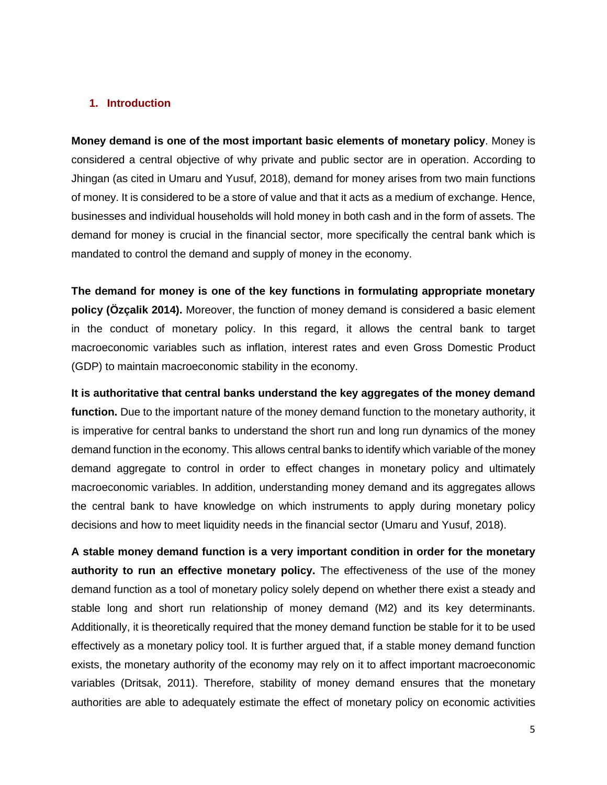#### <span id="page-4-0"></span>**1. Introduction**

**Money demand is one of the most important basic elements of monetary policy**. Money is considered a central objective of why private and public sector are in operation. According to Jhingan (as cited in Umaru and Yusuf, 2018), demand for money arises from two main functions of money. It is considered to be a store of value and that it acts as a medium of exchange. Hence, businesses and individual households will hold money in both cash and in the form of assets. The demand for money is crucial in the financial sector, more specifically the central bank which is mandated to control the demand and supply of money in the economy.

**The demand for money is one of the key functions in formulating appropriate monetary policy (Özçalik 2014).** Moreover, the function of money demand is considered a basic element in the conduct of monetary policy. In this regard, it allows the central bank to target macroeconomic variables such as inflation, interest rates and even Gross Domestic Product (GDP) to maintain macroeconomic stability in the economy.

**It is authoritative that central banks understand the key aggregates of the money demand function.** Due to the important nature of the money demand function to the monetary authority, it is imperative for central banks to understand the short run and long run dynamics of the money demand function in the economy. This allows central banks to identify which variable of the money demand aggregate to control in order to effect changes in monetary policy and ultimately macroeconomic variables. In addition, understanding money demand and its aggregates allows the central bank to have knowledge on which instruments to apply during monetary policy decisions and how to meet liquidity needs in the financial sector (Umaru and Yusuf, 2018).

**A stable money demand function is a very important condition in order for the monetary authority to run an effective monetary policy.** The effectiveness of the use of the money demand function as a tool of monetary policy solely depend on whether there exist a steady and stable long and short run relationship of money demand (M2) and its key determinants. Additionally, it is theoretically required that the money demand function be stable for it to be used effectively as a monetary policy tool. It is further argued that, if a stable money demand function exists, the monetary authority of the economy may rely on it to affect important macroeconomic variables (Dritsak, 2011). Therefore, stability of money demand ensures that the monetary authorities are able to adequately estimate the effect of monetary policy on economic activities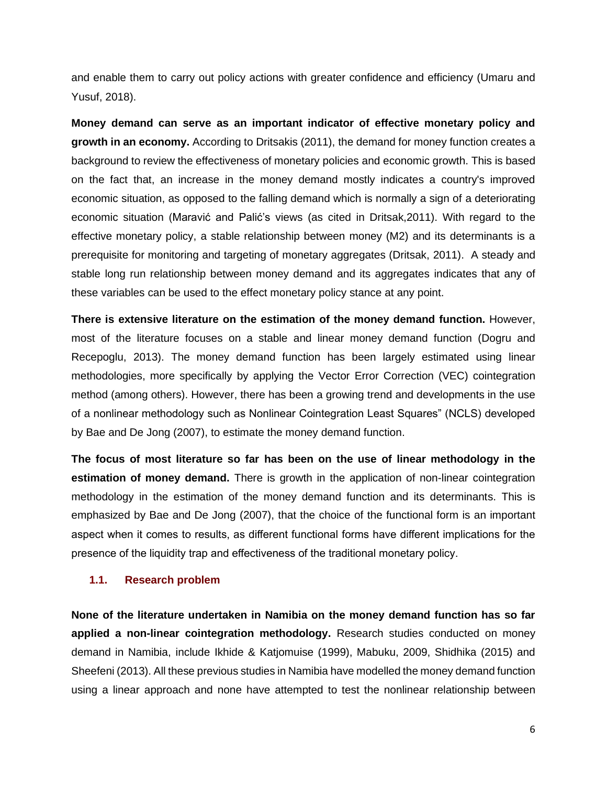and enable them to carry out policy actions with greater confidence and efficiency (Umaru and Yusuf, 2018).

**Money demand can serve as an important indicator of effective monetary policy and growth in an economy.** According to Dritsakis (2011), the demand for money function creates a background to review the effectiveness of monetary policies and economic growth. This is based on the fact that, an increase in the money demand mostly indicates a country's improved economic situation, as opposed to the falling demand which is normally a sign of a deteriorating economic situation (Maravić and Palić's views (as cited in Dritsak,2011). With regard to the effective monetary policy, a stable relationship between money (M2) and its determinants is a prerequisite for monitoring and targeting of monetary aggregates (Dritsak, 2011). A steady and stable long run relationship between money demand and its aggregates indicates that any of these variables can be used to the effect monetary policy stance at any point.

**There is extensive literature on the estimation of the money demand function.** However, most of the literature focuses on a stable and linear money demand function (Dogru and Recepoglu, 2013). The money demand function has been largely estimated using linear methodologies, more specifically by applying the Vector Error Correction (VEC) cointegration method (among others). However, there has been a growing trend and developments in the use of a nonlinear methodology such as Nonlinear Cointegration Least Squares" (NCLS) developed by Bae and De Jong (2007), to estimate the money demand function.

**The focus of most literature so far has been on the use of linear methodology in the estimation of money demand.** There is growth in the application of non-linear cointegration methodology in the estimation of the money demand function and its determinants. This is emphasized by Bae and De Jong (2007), that the choice of the functional form is an important aspect when it comes to results, as different functional forms have different implications for the presence of the liquidity trap and effectiveness of the traditional monetary policy.

#### <span id="page-5-0"></span>**1.1. Research problem**

**None of the literature undertaken in Namibia on the money demand function has so far applied a non-linear cointegration methodology.** Research studies conducted on money demand in Namibia, include Ikhide & Katjomuise (1999), Mabuku, 2009, Shidhika (2015) and Sheefeni (2013). All these previous studies in Namibia have modelled the money demand function using a linear approach and none have attempted to test the nonlinear relationship between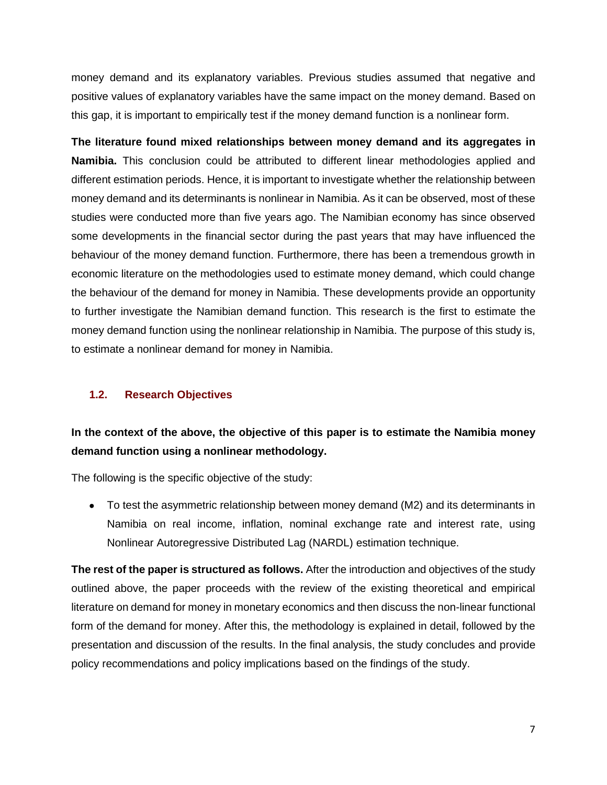money demand and its explanatory variables. Previous studies assumed that negative and positive values of explanatory variables have the same impact on the money demand. Based on this gap, it is important to empirically test if the money demand function is a nonlinear form.

**The literature found mixed relationships between money demand and its aggregates in Namibia.** This conclusion could be attributed to different linear methodologies applied and different estimation periods. Hence, it is important to investigate whether the relationship between money demand and its determinants is nonlinear in Namibia. As it can be observed, most of these studies were conducted more than five years ago. The Namibian economy has since observed some developments in the financial sector during the past years that may have influenced the behaviour of the money demand function. Furthermore, there has been a tremendous growth in economic literature on the methodologies used to estimate money demand, which could change the behaviour of the demand for money in Namibia. These developments provide an opportunity to further investigate the Namibian demand function. This research is the first to estimate the money demand function using the nonlinear relationship in Namibia. The purpose of this study is, to estimate a nonlinear demand for money in Namibia.

# <span id="page-6-0"></span>**1.2. Research Objectives**

# **In the context of the above, the objective of this paper is to estimate the Namibia money demand function using a nonlinear methodology.**

The following is the specific objective of the study:

• To test the asymmetric relationship between money demand (M2) and its determinants in Namibia on real income, inflation, nominal exchange rate and interest rate, using Nonlinear Autoregressive Distributed Lag (NARDL) estimation technique.

**The rest of the paper is structured as follows.** After the introduction and objectives of the study outlined above, the paper proceeds with the review of the existing theoretical and empirical literature on demand for money in monetary economics and then discuss the non-linear functional form of the demand for money. After this, the methodology is explained in detail, followed by the presentation and discussion of the results. In the final analysis, the study concludes and provide policy recommendations and policy implications based on the findings of the study.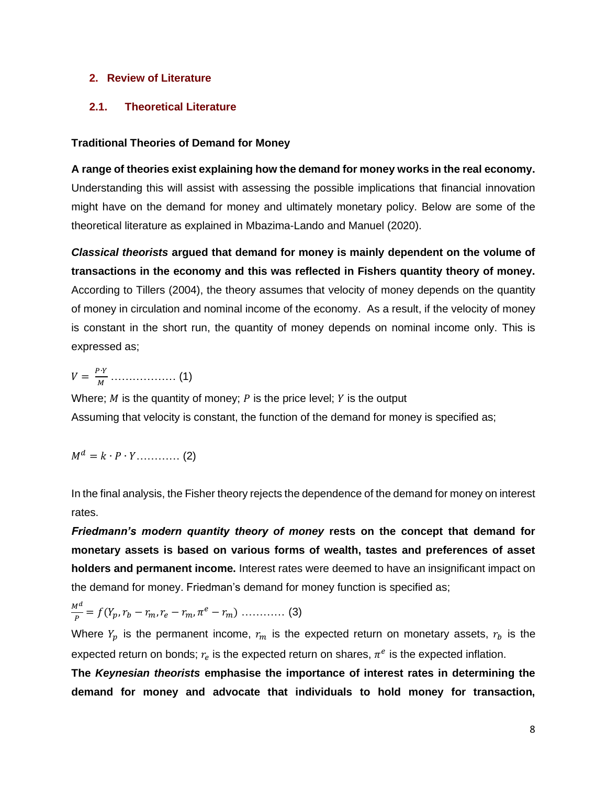# <span id="page-7-0"></span>**2. Review of Literature**

# <span id="page-7-1"></span>**2.1. Theoretical Literature**

# **Traditional Theories of Demand for Money**

**A range of theories exist explaining how the demand for money works in the real economy.** Understanding this will assist with assessing the possible implications that financial innovation might have on the demand for money and ultimately monetary policy. Below are some of the theoretical literature as explained in Mbazima-Lando and Manuel (2020).

*Classical theorists* **argued that demand for money is mainly dependent on the volume of transactions in the economy and this was reflected in Fishers quantity theory of money.** According to Tillers (2004), the theory assumes that velocity of money depends on the quantity of money in circulation and nominal income of the economy. As a result, if the velocity of money is constant in the short run, the quantity of money depends on nominal income only. This is expressed as;

 $V = \frac{P \cdot Y}{M}$ ……………… (1)

Where;  $M$  is the quantity of money;  $P$  is the price level;  $Y$  is the output Assuming that velocity is constant, the function of the demand for money is specified as;

$$
M^d = k \cdot P \cdot Y \dots \dots \dots \dots \dots \tag{2}
$$

In the final analysis, the Fisher theory rejects the dependence of the demand for money on interest rates.

*Friedmann's modern quantity theory of money* **rests on the concept that demand for monetary assets is based on various forms of wealth, tastes and preferences of asset holders and permanent income.** Interest rates were deemed to have an insignificant impact on the demand for money. Friedman's demand for money function is specified as;

$$
\frac{M^{d}}{P} = f(Y_{p}, r_{b} - r_{m}, r_{e} - r_{m}, \pi^{e} - r_{m}) \dots \dots \dots \dots \tag{3}
$$

Where  $Y_p$  is the permanent income,  $r_m$  is the expected return on monetary assets,  $r_b$  is the expected return on bonds;  $r_e$  is the expected return on shares,  $\pi^e$  is the expected inflation.

**The** *Keynesian theorists* **emphasise the importance of interest rates in determining the demand for money and advocate that individuals to hold money for transaction,**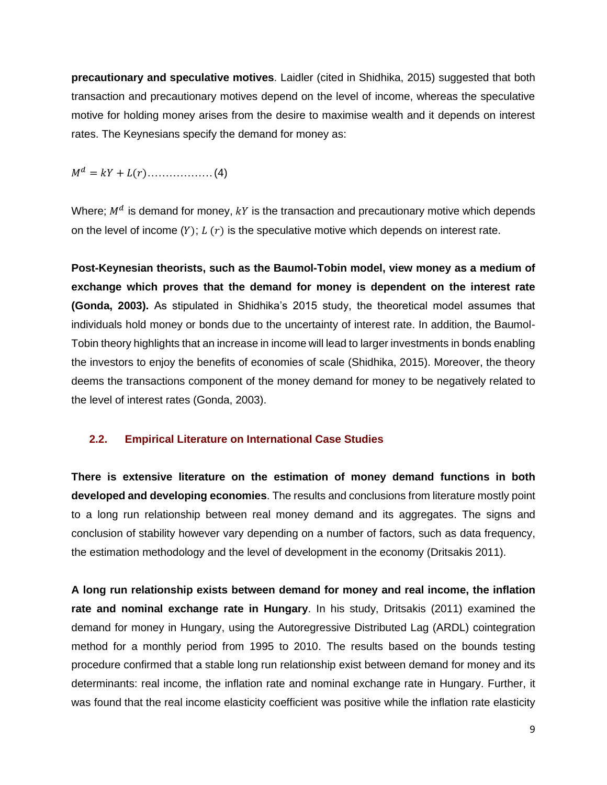**precautionary and speculative motives**. Laidler (cited in Shidhika, 2015) suggested that both transaction and precautionary motives depend on the level of income, whereas the speculative motive for holding money arises from the desire to maximise wealth and it depends on interest rates. The Keynesians specify the demand for money as:

= + ()………………(4)

Where;  $M^d$  is demand for money,  $kY$  is the transaction and precautionary motive which depends on the level of income  $(Y)$ ;  $L(r)$  is the speculative motive which depends on interest rate.

**Post-Keynesian theorists, such as the Baumol-Tobin model, view money as a medium of exchange which proves that the demand for money is dependent on the interest rate (Gonda, 2003).** As stipulated in Shidhika's 2015 study, the theoretical model assumes that individuals hold money or bonds due to the uncertainty of interest rate. In addition, the Baumol-Tobin theory highlights that an increase in income will lead to larger investments in bonds enabling the investors to enjoy the benefits of economies of scale (Shidhika, 2015). Moreover, the theory deems the transactions component of the money demand for money to be negatively related to the level of interest rates (Gonda, 2003).

# <span id="page-8-0"></span>**2.2. Empirical Literature on International Case Studies**

**There is extensive literature on the estimation of money demand functions in both developed and developing economies**. The results and conclusions from literature mostly point to a long run relationship between real money demand and its aggregates. The signs and conclusion of stability however vary depending on a number of factors, such as data frequency, the estimation methodology and the level of development in the economy (Dritsakis 2011).

**A long run relationship exists between demand for money and real income, the inflation rate and nominal exchange rate in Hungary**. In his study, Dritsakis (2011) examined the demand for money in Hungary, using the Autoregressive Distributed Lag (ARDL) cointegration method for a monthly period from 1995 to 2010. The results based on the bounds testing procedure confirmed that a stable long run relationship exist between demand for money and its determinants: real income, the inflation rate and nominal exchange rate in Hungary. Further, it was found that the real income elasticity coefficient was positive while the inflation rate elasticity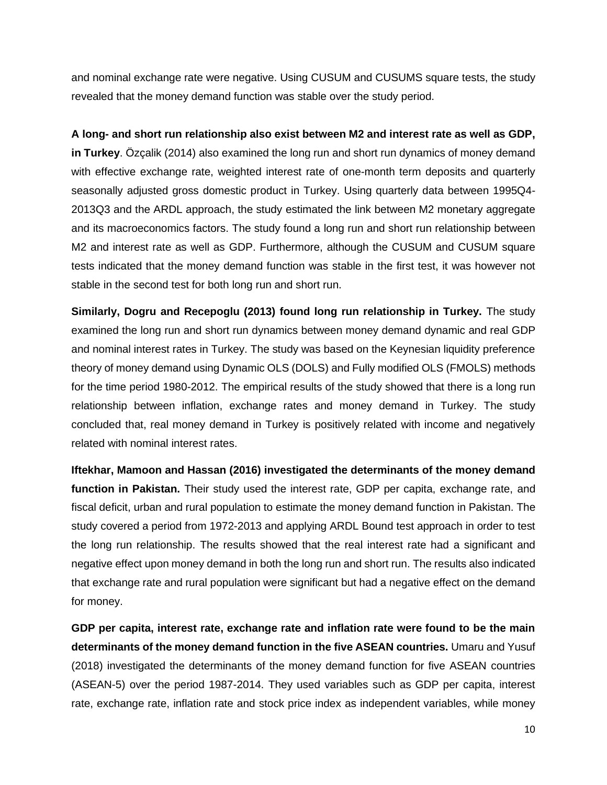and nominal exchange rate were negative. Using CUSUM and CUSUMS square tests, the study revealed that the money demand function was stable over the study period.

**A long- and short run relationship also exist between M2 and interest rate as well as GDP, in Turkey**. Özçalik (2014) also examined the long run and short run dynamics of money demand with effective exchange rate, weighted interest rate of one-month term deposits and quarterly seasonally adjusted gross domestic product in Turkey. Using quarterly data between 1995Q4- 2013Q3 and the ARDL approach, the study estimated the link between M2 monetary aggregate and its macroeconomics factors. The study found a long run and short run relationship between M2 and interest rate as well as GDP. Furthermore, although the CUSUM and CUSUM square tests indicated that the money demand function was stable in the first test, it was however not stable in the second test for both long run and short run.

**Similarly, Dogru and Recepoglu (2013) found long run relationship in Turkey.** The study examined the long run and short run dynamics between money demand dynamic and real GDP and nominal interest rates in Turkey. The study was based on the Keynesian liquidity preference theory of money demand using Dynamic OLS (DOLS) and Fully modified OLS (FMOLS) methods for the time period 1980-2012. The empirical results of the study showed that there is a long run relationship between inflation, exchange rates and money demand in Turkey. The study concluded that, real money demand in Turkey is positively related with income and negatively related with nominal interest rates.

**Iftekhar, Mamoon and Hassan (2016) investigated the determinants of the money demand function in Pakistan.** Their study used the interest rate, GDP per capita, exchange rate, and fiscal deficit, urban and rural population to estimate the money demand function in Pakistan. The study covered a period from 1972-2013 and applying ARDL Bound test approach in order to test the long run relationship. The results showed that the real interest rate had a significant and negative effect upon money demand in both the long run and short run. The results also indicated that exchange rate and rural population were significant but had a negative effect on the demand for money.

**GDP per capita, interest rate, exchange rate and inflation rate were found to be the main determinants of the money demand function in the five ASEAN countries.** Umaru and Yusuf (2018) investigated the determinants of the money demand function for five ASEAN countries (ASEAN-5) over the period 1987-2014. They used variables such as GDP per capita, interest rate, exchange rate, inflation rate and stock price index as independent variables, while money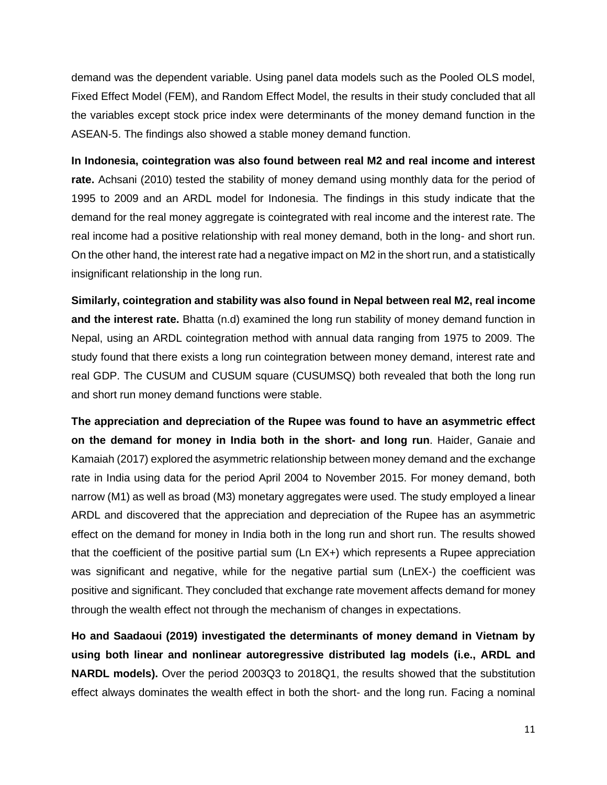demand was the dependent variable. Using panel data models such as the Pooled OLS model, Fixed Effect Model (FEM), and Random Effect Model, the results in their study concluded that all the variables except stock price index were determinants of the money demand function in the ASEAN-5. The findings also showed a stable money demand function.

**In Indonesia, cointegration was also found between real M2 and real income and interest rate.** Achsani (2010) tested the stability of money demand using monthly data for the period of 1995 to 2009 and an ARDL model for Indonesia. The findings in this study indicate that the demand for the real money aggregate is cointegrated with real income and the interest rate. The real income had a positive relationship with real money demand, both in the long- and short run. On the other hand, the interest rate had a negative impact on M2 in the short run, and a statistically insignificant relationship in the long run.

**Similarly, cointegration and stability was also found in Nepal between real M2, real income and the interest rate.** Bhatta (n.d) examined the long run stability of money demand function in Nepal, using an ARDL cointegration method with annual data ranging from 1975 to 2009. The study found that there exists a long run cointegration between money demand, interest rate and real GDP. The CUSUM and CUSUM square (CUSUMSQ) both revealed that both the long run and short run money demand functions were stable.

**The appreciation and depreciation of the Rupee was found to have an asymmetric effect on the demand for money in India both in the short- and long run**. Haider, Ganaie and Kamaiah (2017) explored the asymmetric relationship between money demand and the exchange rate in India using data for the period April 2004 to November 2015. For money demand, both narrow (M1) as well as broad (M3) monetary aggregates were used. The study employed a linear ARDL and discovered that the appreciation and depreciation of the Rupee has an asymmetric effect on the demand for money in India both in the long run and short run. The results showed that the coefficient of the positive partial sum (Ln EX+) which represents a Rupee appreciation was significant and negative, while for the negative partial sum (LnEX-) the coefficient was positive and significant. They concluded that exchange rate movement affects demand for money through the wealth effect not through the mechanism of changes in expectations.

**Ho and Saadaoui (2019) investigated the determinants of money demand in Vietnam by using both linear and nonlinear autoregressive distributed lag models (i.e., ARDL and NARDL models).** Over the period 2003Q3 to 2018Q1, the results showed that the substitution effect always dominates the wealth effect in both the short- and the long run. Facing a nominal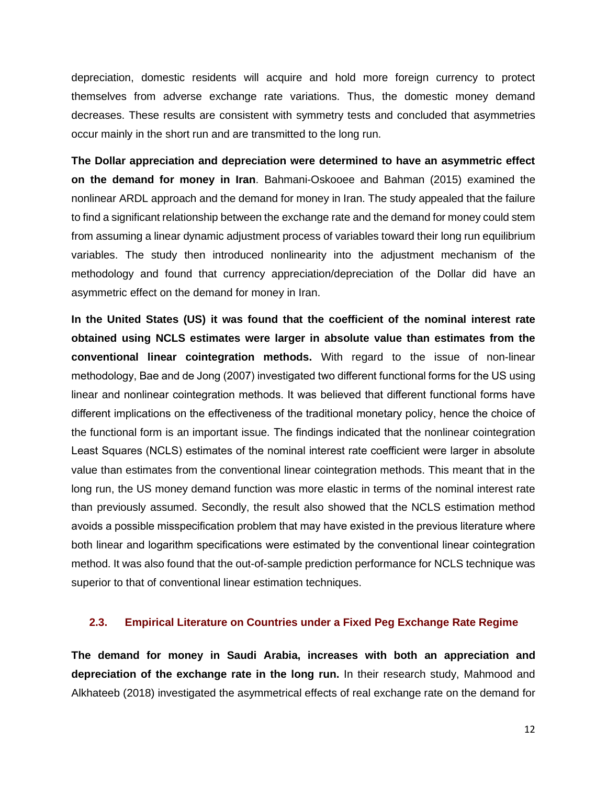depreciation, domestic residents will acquire and hold more foreign currency to protect themselves from adverse exchange rate variations. Thus, the domestic money demand decreases. These results are consistent with symmetry tests and concluded that asymmetries occur mainly in the short run and are transmitted to the long run.

**The Dollar appreciation and depreciation were determined to have an asymmetric effect on the demand for money in Iran**. Bahmani-Oskooee and Bahman (2015) examined the nonlinear ARDL approach and the demand for money in Iran. The study appealed that the failure to find a significant relationship between the exchange rate and the demand for money could stem from assuming a linear dynamic adjustment process of variables toward their long run equilibrium variables. The study then introduced nonlinearity into the adjustment mechanism of the methodology and found that currency appreciation/depreciation of the Dollar did have an asymmetric effect on the demand for money in Iran.

**In the United States (US) it was found that the coefficient of the nominal interest rate obtained using NCLS estimates were larger in absolute value than estimates from the conventional linear cointegration methods.** With regard to the issue of non-linear methodology, Bae and de Jong (2007) investigated two different functional forms for the US using linear and nonlinear cointegration methods. It was believed that different functional forms have different implications on the effectiveness of the traditional monetary policy, hence the choice of the functional form is an important issue. The findings indicated that the nonlinear cointegration Least Squares (NCLS) estimates of the nominal interest rate coefficient were larger in absolute value than estimates from the conventional linear cointegration methods. This meant that in the long run, the US money demand function was more elastic in terms of the nominal interest rate than previously assumed. Secondly, the result also showed that the NCLS estimation method avoids a possible misspecification problem that may have existed in the previous literature where both linear and logarithm specifications were estimated by the conventional linear cointegration method. It was also found that the out-of-sample prediction performance for NCLS technique was superior to that of conventional linear estimation techniques.

# <span id="page-11-0"></span>**2.3. Empirical Literature on Countries under a Fixed Peg Exchange Rate Regime**

**The demand for money in Saudi Arabia, increases with both an appreciation and depreciation of the exchange rate in the long run.** In their research study, Mahmood and Alkhateeb (2018) investigated the asymmetrical effects of real exchange rate on the demand for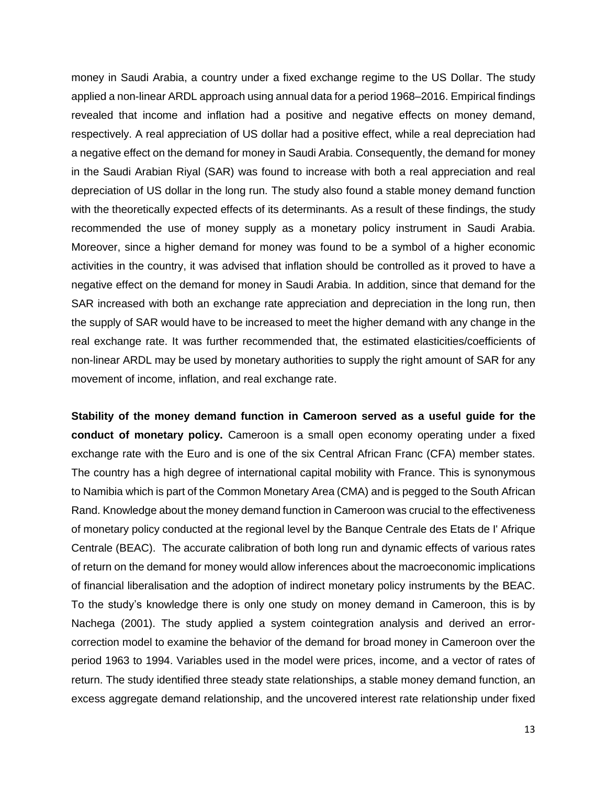money in Saudi Arabia, a country under a fixed exchange regime to the US Dollar. The study applied a non-linear ARDL approach using annual data for a period 1968–2016. Empirical findings revealed that income and inflation had a positive and negative effects on money demand, respectively. A real appreciation of US dollar had a positive effect, while a real depreciation had a negative effect on the demand for money in Saudi Arabia. Consequently, the demand for money in the Saudi Arabian Riyal (SAR) was found to increase with both a real appreciation and real depreciation of US dollar in the long run. The study also found a stable money demand function with the theoretically expected effects of its determinants. As a result of these findings, the study recommended the use of money supply as a monetary policy instrument in Saudi Arabia. Moreover, since a higher demand for money was found to be a symbol of a higher economic activities in the country, it was advised that inflation should be controlled as it proved to have a negative effect on the demand for money in Saudi Arabia. In addition, since that demand for the SAR increased with both an exchange rate appreciation and depreciation in the long run, then the supply of SAR would have to be increased to meet the higher demand with any change in the real exchange rate. It was further recommended that, the estimated elasticities/coefficients of non-linear ARDL may be used by monetary authorities to supply the right amount of SAR for any movement of income, inflation, and real exchange rate.

**Stability of the money demand function in Cameroon served as a useful guide for the conduct of monetary policy.** Cameroon is a small open economy operating under a fixed exchange rate with the Euro and is one of the six Central African Franc (CFA) member states. The country has a high degree of international capital mobility with France. This is synonymous to Namibia which is part of the Common Monetary Area (CMA) and is pegged to the South African Rand. Knowledge about the money demand function in Cameroon was crucial to the effectiveness of monetary policy conducted at the regional level by the Banque Centrale des Etats de I' Afrique Centrale (BEAC). The accurate calibration of both long run and dynamic effects of various rates of return on the demand for money would allow inferences about the macroeconomic implications of financial liberalisation and the adoption of indirect monetary policy instruments by the BEAC. To the study's knowledge there is only one study on money demand in Cameroon, this is by Nachega (2001). The study applied a system cointegration analysis and derived an errorcorrection model to examine the behavior of the demand for broad money in Cameroon over the period 1963 to 1994. Variables used in the model were prices, income, and a vector of rates of return. The study identified three steady state relationships, a stable money demand function, an excess aggregate demand relationship, and the uncovered interest rate relationship under fixed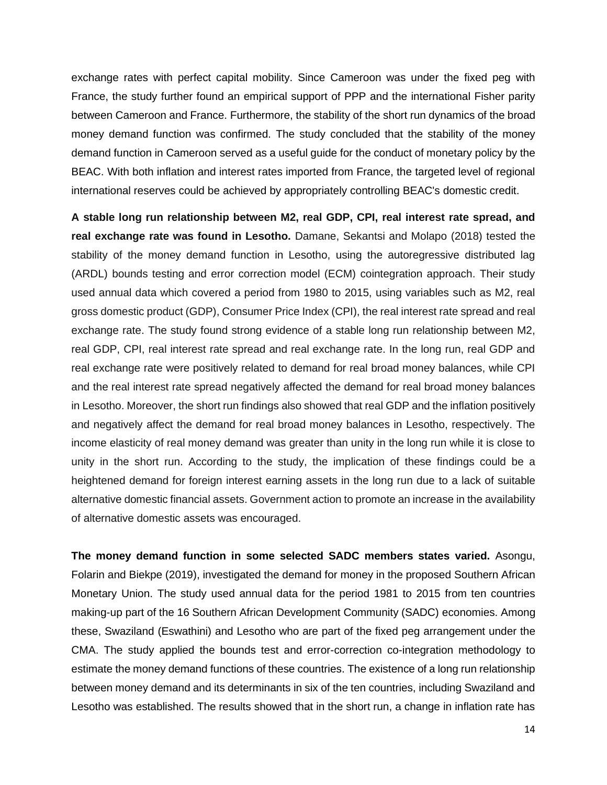exchange rates with perfect capital mobility. Since Cameroon was under the fixed peg with France, the study further found an empirical support of PPP and the international Fisher parity between Cameroon and France. Furthermore, the stability of the short run dynamics of the broad money demand function was confirmed. The study concluded that the stability of the money demand function in Cameroon served as a useful guide for the conduct of monetary policy by the BEAC. With both inflation and interest rates imported from France, the targeted level of regional international reserves could be achieved by appropriately controlling BEAC's domestic credit.

**A stable long run relationship between M2, real GDP, CPI, real interest rate spread, and real exchange rate was found in Lesotho.** Damane, Sekantsi and Molapo (2018) tested the stability of the money demand function in Lesotho, using the autoregressive distributed lag (ARDL) bounds testing and error correction model (ECM) cointegration approach. Their study used annual data which covered a period from 1980 to 2015, using variables such as M2, real gross domestic product (GDP), Consumer Price Index (CPI), the real interest rate spread and real exchange rate. The study found strong evidence of a stable long run relationship between M2, real GDP, CPI, real interest rate spread and real exchange rate. In the long run, real GDP and real exchange rate were positively related to demand for real broad money balances, while CPI and the real interest rate spread negatively affected the demand for real broad money balances in Lesotho. Moreover, the short run findings also showed that real GDP and the inflation positively and negatively affect the demand for real broad money balances in Lesotho, respectively. The income elasticity of real money demand was greater than unity in the long run while it is close to unity in the short run. According to the study, the implication of these findings could be a heightened demand for foreign interest earning assets in the long run due to a lack of suitable alternative domestic financial assets. Government action to promote an increase in the availability of alternative domestic assets was encouraged.

**The money demand function in some selected SADC members states varied.** Asongu, Folarin and Biekpe (2019), investigated the demand for money in the proposed Southern African Monetary Union. The study used annual data for the period 1981 to 2015 from ten countries making-up part of the 16 Southern African Development Community (SADC) economies. Among these, Swaziland (Eswathini) and Lesotho who are part of the fixed peg arrangement under the CMA. The study applied the bounds test and error-correction co-integration methodology to estimate the money demand functions of these countries. The existence of a long run relationship between money demand and its determinants in six of the ten countries, including Swaziland and Lesotho was established. The results showed that in the short run, a change in inflation rate has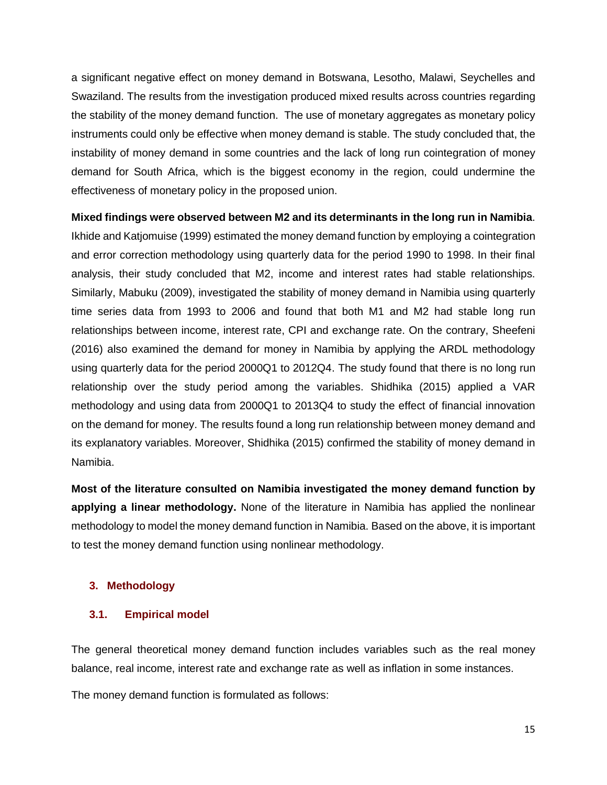a significant negative effect on money demand in Botswana, Lesotho, Malawi, Seychelles and Swaziland. The results from the investigation produced mixed results across countries regarding the stability of the money demand function. The use of monetary aggregates as monetary policy instruments could only be effective when money demand is stable. The study concluded that, the instability of money demand in some countries and the lack of long run cointegration of money demand for South Africa, which is the biggest economy in the region, could undermine the effectiveness of monetary policy in the proposed union.

**Mixed findings were observed between M2 and its determinants in the long run in Namibia**.

Ikhide and Katjomuise (1999) estimated the money demand function by employing a cointegration and error correction methodology using quarterly data for the period 1990 to 1998. In their final analysis, their study concluded that M2, income and interest rates had stable relationships. Similarly, Mabuku (2009), investigated the stability of money demand in Namibia using quarterly time series data from 1993 to 2006 and found that both M1 and M2 had stable long run relationships between income, interest rate, CPI and exchange rate. On the contrary, Sheefeni (2016) also examined the demand for money in Namibia by applying the ARDL methodology using quarterly data for the period 2000Q1 to 2012Q4. The study found that there is no long run relationship over the study period among the variables. Shidhika (2015) applied a VAR methodology and using data from 2000Q1 to 2013Q4 to study the effect of financial innovation on the demand for money. The results found a long run relationship between money demand and its explanatory variables. Moreover, Shidhika (2015) confirmed the stability of money demand in Namibia.

**Most of the literature consulted on Namibia investigated the money demand function by applying a linear methodology.** None of the literature in Namibia has applied the nonlinear methodology to model the money demand function in Namibia. Based on the above, it is important to test the money demand function using nonlinear methodology.

# <span id="page-14-0"></span>**3. Methodology**

# <span id="page-14-1"></span>**3.1. Empirical model**

The general theoretical money demand function includes variables such as the real money balance, real income, interest rate and exchange rate as well as inflation in some instances.

The money demand function is formulated as follows: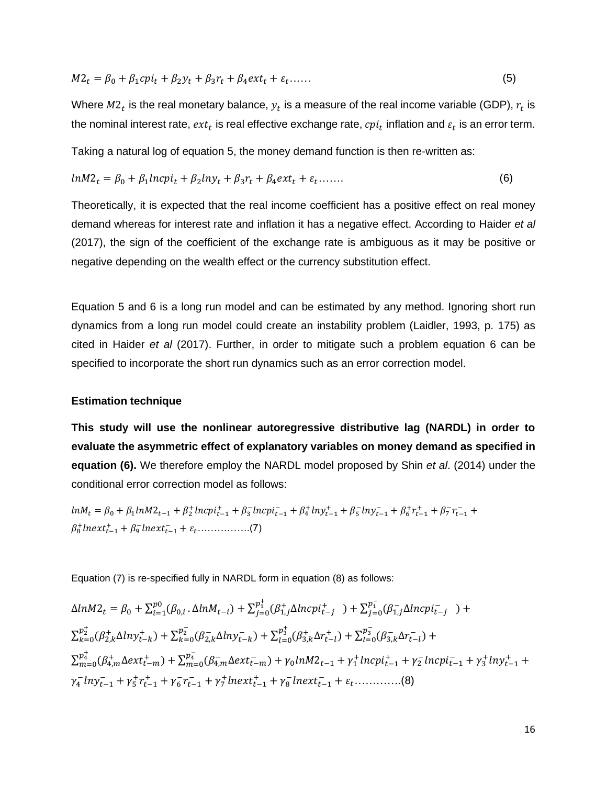$$
M2_t = \beta_0 + \beta_1 cpi_t + \beta_2 y_t + \beta_3 r_t + \beta_4 ext_t + \varepsilon_t \dots \tag{5}
$$

Where  $M2_t$  is the real monetary balance,  $y_t$  is a measure of the real income variable (GDP),  $r_t$  is the nominal interest rate,  $ext_t$  is real effective exchange rate,  $cpi_t$  inflation and  $\varepsilon_t$  is an error term.

Taking a natural log of equation 5, the money demand function is then re-written as:

$$
ln M2_t = \beta_0 + \beta_1 ln cpi_t + \beta_2 ln y_t + \beta_3 r_t + \beta_4 ext_t + \varepsilon_t \dots \dots \tag{6}
$$

Theoretically, it is expected that the real income coefficient has a positive effect on real money demand whereas for interest rate and inflation it has a negative effect. According to Haider *et al* (2017), the sign of the coefficient of the exchange rate is ambiguous as it may be positive or negative depending on the wealth effect or the currency substitution effect.

Equation 5 and 6 is a long run model and can be estimated by any method. Ignoring short run dynamics from a long run model could create an instability problem (Laidler, 1993, p. 175) as cited in Haider *et al* (2017). Further, in order to mitigate such a problem equation 6 can be specified to incorporate the short run dynamics such as an error correction model.

#### **Estimation technique**

**This study will use the nonlinear autoregressive distributive lag (NARDL) in order to evaluate the asymmetric effect of explanatory variables on money demand as specified in equation (6).** We therefore employ the NARDL model proposed by Shin *et al*. (2014) under the conditional error correction model as follows:

$$
ln M_t = \beta_0 + \beta_1 ln M 2_{t-1} + \beta_2^+ ln c p i_{t-1}^+ + \beta_3^- ln c p i_{t-1}^- + \beta_4^+ ln y_{t-1}^+ + \beta_5^- ln y_{t-1}^- + \beta_6^+ r_{t-1}^+ + \beta_7^- r_{t-1}^- + \beta_8^+ ln e x t_{t-1}^+ + \beta_9^- ln e x t_{t-1}^- + \varepsilon_t \dots \dots \dots \dots (7)
$$

Equation (7) is re-specified fully in NARDL form in equation (8) as follows:

$$
\Delta lnM2_{t} = \beta_{0} + \sum_{i=1}^{p_{0}} (\beta_{0,i} \cdot \Delta lnM_{t-i}) + \sum_{j=0}^{p_{1}^{+}} (\beta_{1,j}^{+} \Delta lncpi_{t-j}^{+}) + \sum_{j=0}^{p_{1}^{-}} (\beta_{1,j}^{-} \Delta lncpi_{t-j}^{-}) +
$$
\n
$$
\sum_{k=0}^{p_{2}^{+}} (\beta_{2,k}^{+} \Delta lny_{t-k}^{+}) + \sum_{k=0}^{p_{2}^{-}} (\beta_{2,k}^{-} \Delta lny_{t-k}^{-}) + \sum_{l=0}^{p_{3}^{+}} (\beta_{3,k}^{+} \Delta r_{t-l}^{+}) + \sum_{l=0}^{p_{3}^{-}} (\beta_{3,k}^{-} \Delta r_{t-l}^{-}) +
$$
\n
$$
\sum_{m=0}^{p_{4}^{+}} (\beta_{4,m}^{+} \Delta ext_{t-m}^{+}) + \sum_{m=0}^{p_{4}^{-}} (\beta_{4,m}^{-} \Delta ext_{t-m}^{-}) + \gamma_{0} lnM2_{t-1} + \gamma_{1}^{+} lncpi_{t-1}^{+} + \gamma_{2}^{-} lncpi_{t-1}^{-} + \gamma_{3}^{+} lny_{t-1}^{+} +
$$
\n
$$
\gamma_{4}^{-} lny_{t-1}^{-} + \gamma_{5}^{+} r_{t-1}^{+} + \gamma_{6}^{-} r_{t-1}^{-} + \gamma_{7}^{+} lnext_{t-1}^{+} + \gamma_{8}^{-} lnext_{t-1}^{-} + \varepsilon_{t} \dots \dots \dots \dots (8)
$$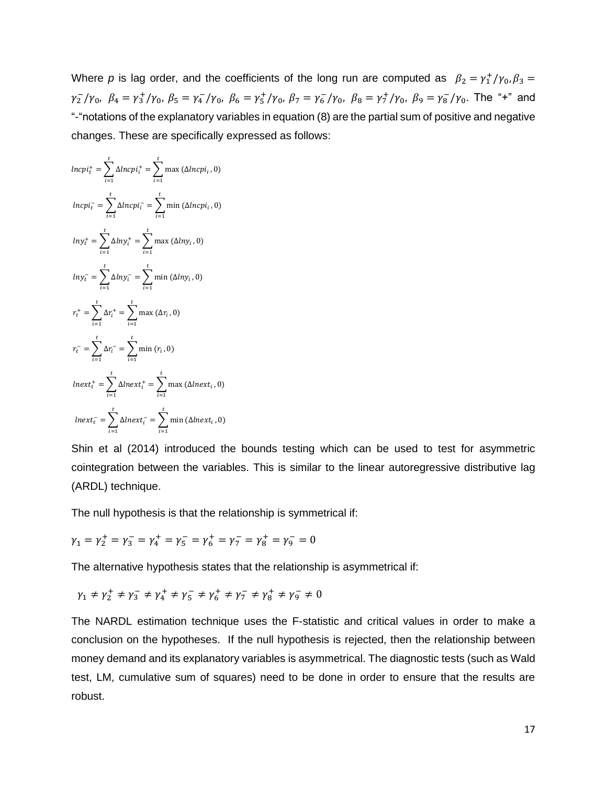Where p is lag order, and the coefficients of the long run are computed as  $\beta_2 = \gamma_1^+/\gamma_0$ ,  $\beta_3 =$  $\gamma_2^-/\gamma_0$ ,  $\beta_4 = \gamma_3^+/\gamma_0$ ,  $\beta_5 = \gamma_4^-/\gamma_0$ ,  $\beta_6 = \gamma_5^+/\gamma_0$ ,  $\beta_7 = \gamma_6^-/\gamma_0$ ,  $\beta_8 = \gamma_7^+/\gamma_0$ ,  $\beta_9 = \gamma_8^-/\gamma_0$ . The "+" and "-"notations of the explanatory variables in equation (8) are the partial sum of positive and negative changes. These are specifically expressed as follows:

$$
lncpt_t^+ = \sum_{i=1}^t \Delta lncpi_t^+ = \sum_{i=1}^t \max (\Delta lncpi_i, 0)
$$
  
\n
$$
lncpi_t^- = \sum_{i=1}^t \Delta lncpi_t^- = \sum_{i=1}^t \min (\Delta lncpi_i, 0)
$$
  
\n
$$
lny_t^+ = \sum_{i=1}^t \Delta lny_t^+ = \sum_{i=1}^t \max (\Delta lny_i, 0)
$$
  
\n
$$
lny_t^- = \sum_{i=1}^t \Delta n y_i^- = \sum_{i=1}^t \min (\Delta lny_i, 0)
$$
  
\n
$$
r_t^+ = \sum_{i=1}^t \Delta r_i^+ = \sum_{i=1}^t \max (\Delta r_i, 0)
$$
  
\n
$$
r_t^- = \sum_{i=1}^t \Delta r_i^- = \sum_{i=1}^t \min (r_i, 0)
$$
  
\n
$$
lnext_t^+ = \sum_{i=1}^t \Delta lnext_t^+ = \sum_{i=1}^t \max (\Delta lnext_i, 0)
$$
  
\n
$$
lnext_t^- = \sum_{i=1}^t \Delta lnext_t^- = \sum_{i=1}^t \min (\Delta lnext_i, 0)
$$

Shin et al (2014) introduced the bounds testing which can be used to test for asymmetric cointegration between the variables. This is similar to the linear autoregressive distributive lag (ARDL) technique.

The null hypothesis is that the relationship is symmetrical if:

$$
\gamma_1 = \gamma_2^+ = \gamma_3^- = \gamma_4^+ = \gamma_5^- = \gamma_6^+ = \gamma_7^- = \gamma_8^+ = \gamma_9^- = 0
$$

The alternative hypothesis states that the relationship is asymmetrical if:

 $\gamma_1 \neq \gamma_2^+ \neq \gamma_3^- \neq \gamma_4^+ \neq \gamma_5^- \neq \gamma_6^+ \neq \gamma_7^- \neq \gamma_8^+ \neq \gamma_9^- \neq 0$ 

The NARDL estimation technique uses the F-statistic and critical values in order to make a conclusion on the hypotheses. If the null hypothesis is rejected, then the relationship between money demand and its explanatory variables is asymmetrical. The diagnostic tests (such as Wald test, LM, cumulative sum of squares) need to be done in order to ensure that the results are robust.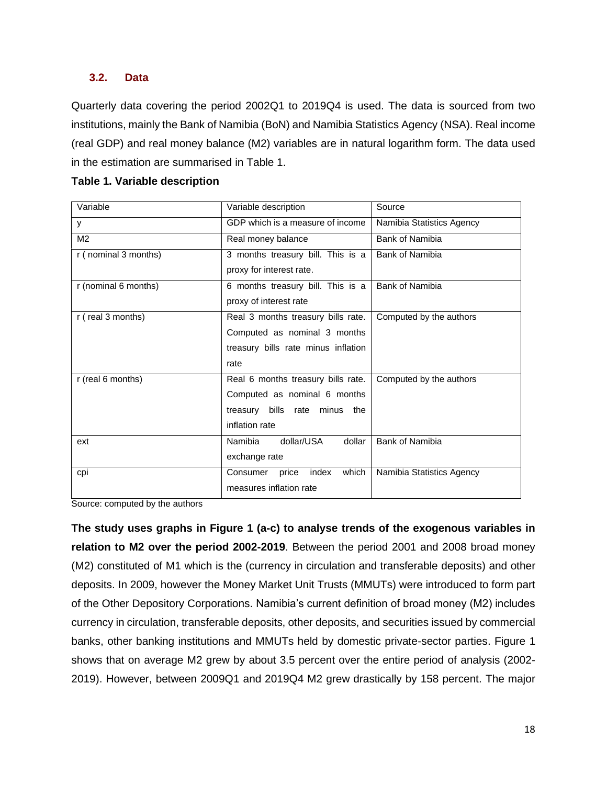# <span id="page-17-0"></span>**3.2. Data**

Quarterly data covering the period 2002Q1 to 2019Q4 is used. The data is sourced from two institutions, mainly the Bank of Namibia (BoN) and Namibia Statistics Agency (NSA). Real income (real GDP) and real money balance (M2) variables are in natural logarithm form. The data used in the estimation are summarised in Table 1.

| Variable             | Variable description                | Source                    |
|----------------------|-------------------------------------|---------------------------|
| У                    | GDP which is a measure of income    | Namibia Statistics Agency |
|                      |                                     |                           |
| M <sub>2</sub>       | Real money balance                  | Bank of Namibia           |
| r (nominal 3 months) | 3 months treasury bill. This is a   | <b>Bank of Namibia</b>    |
|                      | proxy for interest rate.            |                           |
| r (nominal 6 months) | 6 months treasury bill. This is a   | Bank of Namibia           |
|                      | proxy of interest rate              |                           |
| r (real 3 months)    | Real 3 months treasury bills rate.  | Computed by the authors   |
|                      | Computed as nominal 3 months        |                           |
|                      | treasury bills rate minus inflation |                           |
|                      | rate                                |                           |
| r (real 6 months)    | Real 6 months treasury bills rate.  | Computed by the authors   |
|                      | Computed as nominal 6 months        |                           |
|                      | treasury bills rate minus the       |                           |
|                      | inflation rate                      |                           |
| ext                  | Namibia<br>dollar/USA<br>dollar     | <b>Bank of Namibia</b>    |
|                      | exchange rate                       |                           |
| cpi                  | which<br>price<br>index<br>Consumer | Namibia Statistics Agency |
|                      | measures inflation rate             |                           |

# **Table 1. Variable description**

Source: computed by the authors

**The study uses graphs in Figure 1 (a-c) to analyse trends of the exogenous variables in relation to M2 over the period 2002-2019**. Between the period 2001 and 2008 broad money (M2) constituted of M1 which is the (currency in circulation and transferable deposits) and other deposits. In 2009, however the Money Market Unit Trusts (MMUTs) were introduced to form part of the Other Depository Corporations. Namibia's current definition of broad money (M2) includes currency in circulation, transferable deposits, other deposits, and securities issued by commercial banks, other banking institutions and MMUTs held by domestic private-sector parties. Figure 1 shows that on average M2 grew by about 3.5 percent over the entire period of analysis (2002- 2019). However, between 2009Q1 and 2019Q4 M2 grew drastically by 158 percent. The major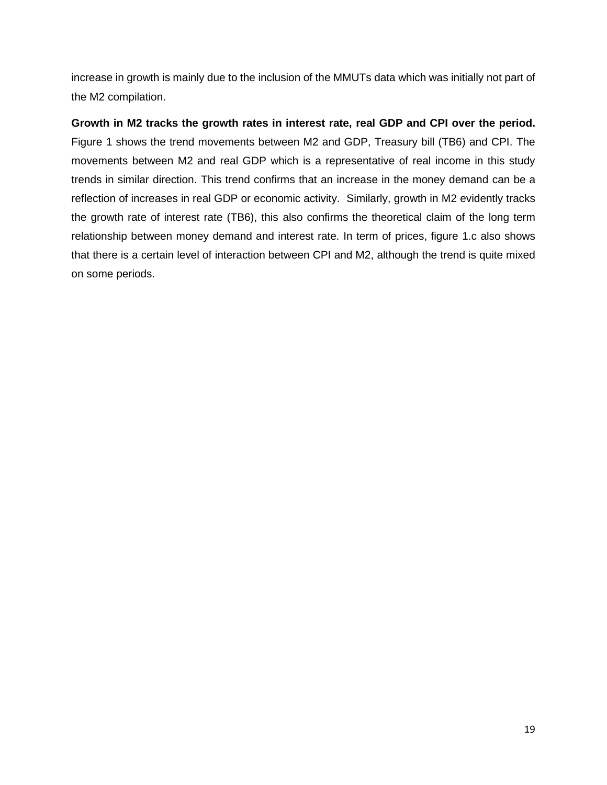increase in growth is mainly due to the inclusion of the MMUTs data which was initially not part of the M2 compilation.

**Growth in M2 tracks the growth rates in interest rate, real GDP and CPI over the period.**  Figure 1 shows the trend movements between M2 and GDP, Treasury bill (TB6) and CPI. The movements between M2 and real GDP which is a representative of real income in this study trends in similar direction. This trend confirms that an increase in the money demand can be a reflection of increases in real GDP or economic activity. Similarly, growth in M2 evidently tracks the growth rate of interest rate (TB6), this also confirms the theoretical claim of the long term relationship between money demand and interest rate. In term of prices, figure 1.c also shows that there is a certain level of interaction between CPI and M2, although the trend is quite mixed on some periods.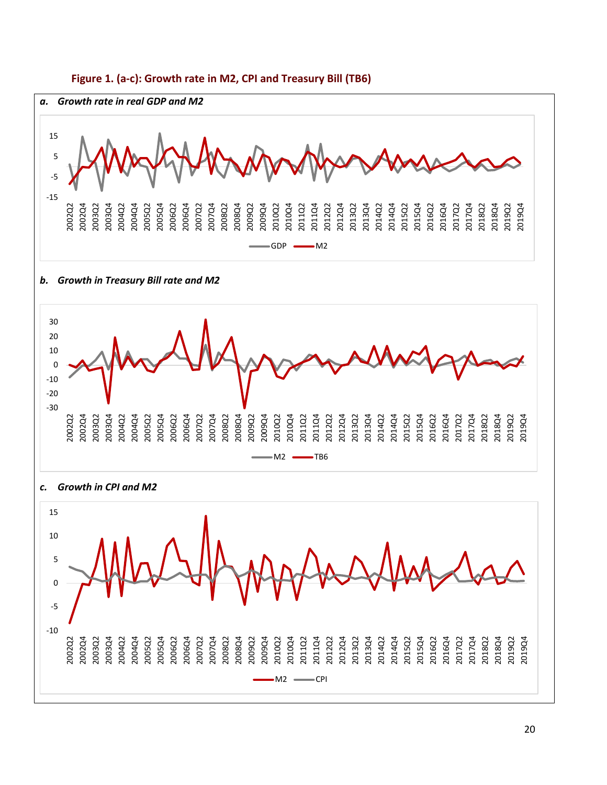

# **Figure 1. (a-c): Growth rate in M2, CPI and Treasury Bill (TB6)**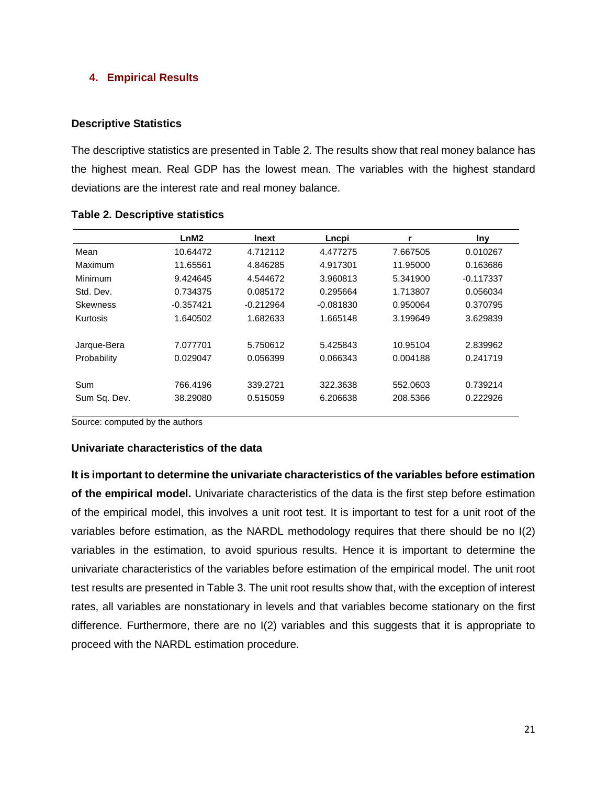### <span id="page-20-0"></span>**4. Empirical Results**

# **Descriptive Statistics**

The descriptive statistics are presented in Table 2. The results show that real money balance has the highest mean. Real GDP has the lowest mean. The variables with the highest standard deviations are the interest rate and real money balance.

|                 | LnM <sub>2</sub> | Inext       | Lncpi       | r        | <b>Inv</b>  |
|-----------------|------------------|-------------|-------------|----------|-------------|
| Mean            | 10.64472         | 4.712112    | 4.477275    | 7.667505 | 0.010267    |
| <b>Maximum</b>  | 11.65561         | 4.846285    | 4.917301    | 11.95000 | 0.163686    |
| <b>Minimum</b>  | 9.424645         | 4.544672    | 3.960813    | 5.341900 | $-0.117337$ |
| Std. Dev.       | 0.734375         | 0.085172    | 0.295664    | 1.713807 | 0.056034    |
| <b>Skewness</b> | $-0.357421$      | $-0.212964$ | $-0.081830$ | 0.950064 | 0.370795    |
| Kurtosis        | 1.640502         | 1.682633    | 1.665148    | 3.199649 | 3.629839    |
| Jarque-Bera     | 7.077701         | 5.750612    | 5.425843    | 10.95104 | 2.839962    |
| Probability     | 0.029047         | 0.056399    | 0.066343    | 0.004188 | 0.241719    |
| Sum             | 766.4196         | 339.2721    | 322.3638    | 552.0603 | 0.739214    |
| Sum Sq. Dev.    | 38.29080         | 0.515059    | 6.206638    | 208.5366 | 0.222926    |

### **Table 2. Descriptive statistics**

Source: computed by the authors

# **Univariate characteristics of the data**

| It is important to determine the univariate characteristics of the variables before estimation         |
|--------------------------------------------------------------------------------------------------------|
| of the empirical model. Univariate characteristics of the data is the first step before estimation     |
| of the empirical model, this involves a unit root test. It is important to test for a unit root of the |
| variables before estimation, as the NARDL methodology requires that there should be no I(2)            |
| variables in the estimation, to avoid spurious results. Hence it is important to determine the         |
| univariate characteristics of the variables before estimation of the empirical model. The unit root    |
| test results are presented in Table 3. The unit root results show that, with the exception of interest |
| rates, all variables are nonstationary in levels and that variables become stationary on the first     |
| difference. Furthermore, there are no I(2) variables and this suggests that it is appropriate to       |
| proceed with the NARDL estimation procedure.                                                           |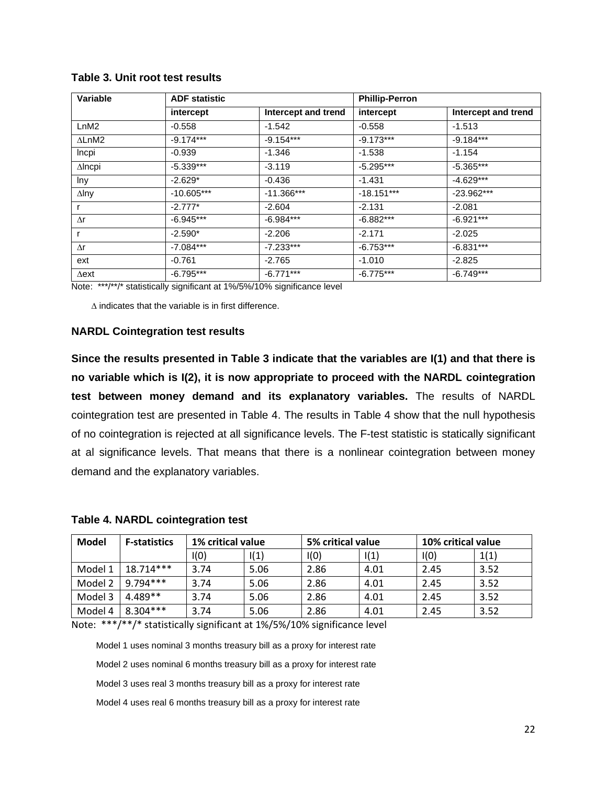| Variable       | <b>ADF</b> statistic |                     | <b>Phillip-Perron</b> |                     |  |
|----------------|----------------------|---------------------|-----------------------|---------------------|--|
|                | intercept            | Intercept and trend | intercept             | Intercept and trend |  |
| LnM2           | $-0.558$             | $-1.542$            | $-0.558$              | $-1.513$            |  |
| $\Delta$ LnM2  | $-9.174***$          | $-9.154***$         | $-9.173***$           | $-9.184***$         |  |
| Incpi          | $-0.939$             | $-1.346$            | $-1.538$              | $-1.154$            |  |
| $\Delta$ Incpi | $-5.339***$          | $-3.119$            | $-5.295***$           | $-5.365***$         |  |
| Iny            | $-2.629*$            | $-0.436$            | -1.431                | $-4.629***$         |  |
| $\Delta$ lny   | $-10.605***$         | $-11.366***$        | $-18.151***$          | $-23.962***$        |  |
|                | $-2.777*$            | $-2.604$            | $-2.131$              | $-2.081$            |  |
| $\Delta r$     | $-6.945***$          | $-6.984***$         | $-6.882***$           | $-6.921***$         |  |
|                | $-2.590*$            | $-2.206$            | $-2.171$              | $-2.025$            |  |
| $\Delta r$     | $-7.084***$          | $-7.233***$         | $-6.753***$           | $-6.831***$         |  |
| ext            | $-0.761$             | $-2.765$            | $-1.010$              | $-2.825$            |  |
| $\Delta$ ext   | $-6.795***$          | $-6.771***$         | $-6.775***$           | $-6.749***$         |  |

#### **Table 3. Unit root test results**

Note: \*\*\*/\*\*/\* statistically significant at 1%/5%/10% significance level

∆ indicates that the variable is in first difference.

#### **NARDL Cointegration test results**

**Since the results presented in Table 3 indicate that the variables are I(1) and that there is no variable which is I(2), it is now appropriate to proceed with the NARDL cointegration test between money demand and its explanatory variables.** The results of NARDL cointegration test are presented in Table 4. The results in Table 4 show that the null hypothesis of no cointegration is rejected at all significance levels. The F-test statistic is statically significant at al significance levels. That means that there is a nonlinear cointegration between money demand and the explanatory variables.

| <b>Model</b> | <b>F-statistics</b> | 1% critical value |      | 5% critical value |      | 10% critical value |      |
|--------------|---------------------|-------------------|------|-------------------|------|--------------------|------|
|              |                     | I(O)              | I(1) | I(O)              | I(1) | I(0)               | 1(1) |
| Model 1      | 18.714***           | 3.74              | 5.06 | 2.86              | 4.01 | 2.45               | 3.52 |
| Model 2      | $9.794***$          | 3.74              | 5.06 | 2.86              | 4.01 | 2.45               | 3.52 |
| Model 3      | $4.489**$           | 3.74              | 5.06 | 2.86              | 4.01 | 2.45               | 3.52 |
| Model 4      | $8.304***$          | 3.74              | 5.06 | 2.86              | 4.01 | 2.45               | 3.52 |

#### **Table 4. NARDL cointegration test**

Note: \*\*\*/\*\*/\* statistically significant at 1%/5%/10% significance level

Model 1 uses nominal 3 months treasury bill as a proxy for interest rate

Model 2 uses nominal 6 months treasury bill as a proxy for interest rate

Model 3 uses real 3 months treasury bill as a proxy for interest rate

Model 4 uses real 6 months treasury bill as a proxy for interest rate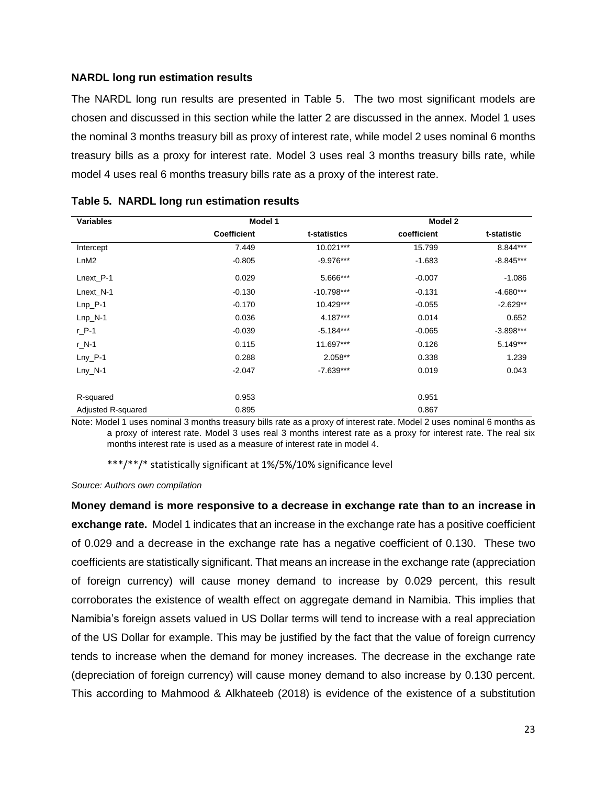#### **NARDL long run estimation results**

The NARDL long run results are presented in Table 5. The two most significant models are chosen and discussed in this section while the latter 2 are discussed in the annex. Model 1 uses the nominal 3 months treasury bill as proxy of interest rate, while model 2 uses nominal 6 months treasury bills as a proxy for interest rate. Model 3 uses real 3 months treasury bills rate, while model 4 uses real 6 months treasury bills rate as a proxy of the interest rate.

| <b>Variables</b>   | Model 1            |              | Model 2     |             |
|--------------------|--------------------|--------------|-------------|-------------|
|                    | <b>Coefficient</b> | t-statistics | coefficient | t-statistic |
| Intercept          | 7.449              | 10.021***    | 15.799      | 8.844***    |
| LnM <sub>2</sub>   | $-0.805$           | $-9.976***$  | $-1.683$    | $-8.845***$ |
| Lnext_P-1          | 0.029              | 5.666***     | $-0.007$    | $-1.086$    |
| Lnext_N-1          | $-0.130$           | $-10.798***$ | $-0.131$    | $-4.680***$ |
| $Lnp_P-1$          | $-0.170$           | 10.429***    | $-0.055$    | $-2.629**$  |
| $Lnp_N-1$          | 0.036              | 4.187***     | 0.014       | 0.652       |
| $r_P-1$            | $-0.039$           | $-5.184***$  | $-0.065$    | $-3.898***$ |
| $r_N-1$            | 0.115              | 11.697***    | 0.126       | $5.149***$  |
| $Lny_P-1$          | 0.288              | $2.058**$    | 0.338       | 1.239       |
| $Lny_N-1$          | $-2.047$           | $-7.639***$  | 0.019       | 0.043       |
|                    |                    |              |             |             |
| R-squared          | 0.953              |              | 0.951       |             |
| Adjusted R-squared | 0.895              |              | 0.867       |             |

|  |  |  |  | Table 5. NARDL long run estimation results |
|--|--|--|--|--------------------------------------------|
|--|--|--|--|--------------------------------------------|

Note: Model 1 uses nominal 3 months treasury bills rate as a proxy of interest rate. Model 2 uses nominal 6 months as a proxy of interest rate. Model 3 uses real 3 months interest rate as a proxy for interest rate. The real six months interest rate is used as a measure of interest rate in model 4.

\*\*\*/\*\*/\* statistically significant at 1%/5%/10% significance level

#### *Source: Authors own compilation*

**Money demand is more responsive to a decrease in exchange rate than to an increase in exchange rate.** Model 1 indicates that an increase in the exchange rate has a positive coefficient of 0.029 and a decrease in the exchange rate has a negative coefficient of 0.130. These two coefficients are statistically significant. That means an increase in the exchange rate (appreciation of foreign currency) will cause money demand to increase by 0.029 percent, this result corroborates the existence of wealth effect on aggregate demand in Namibia. This implies that Namibia's foreign assets valued in US Dollar terms will tend to increase with a real appreciation of the US Dollar for example. This may be justified by the fact that the value of foreign currency tends to increase when the demand for money increases. The decrease in the exchange rate (depreciation of foreign currency) will cause money demand to also increase by 0.130 percent. This according to Mahmood & Alkhateeb (2018) is evidence of the existence of a substitution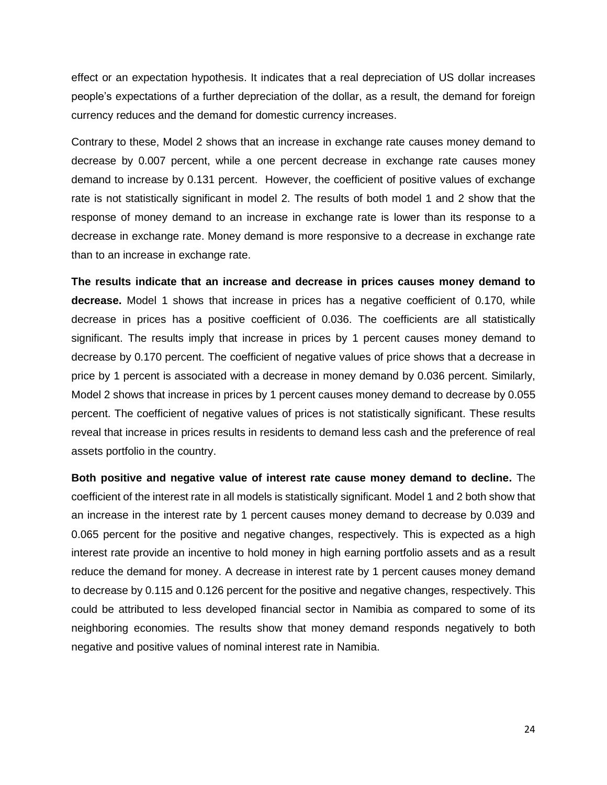effect or an expectation hypothesis. It indicates that a real depreciation of US dollar increases people's expectations of a further depreciation of the dollar, as a result, the demand for foreign currency reduces and the demand for domestic currency increases.

Contrary to these, Model 2 shows that an increase in exchange rate causes money demand to decrease by 0.007 percent, while a one percent decrease in exchange rate causes money demand to increase by 0.131 percent. However, the coefficient of positive values of exchange rate is not statistically significant in model 2. The results of both model 1 and 2 show that the response of money demand to an increase in exchange rate is lower than its response to a decrease in exchange rate. Money demand is more responsive to a decrease in exchange rate than to an increase in exchange rate.

**The results indicate that an increase and decrease in prices causes money demand to decrease.** Model 1 shows that increase in prices has a negative coefficient of 0.170, while decrease in prices has a positive coefficient of 0.036. The coefficients are all statistically significant. The results imply that increase in prices by 1 percent causes money demand to decrease by 0.170 percent. The coefficient of negative values of price shows that a decrease in price by 1 percent is associated with a decrease in money demand by 0.036 percent. Similarly, Model 2 shows that increase in prices by 1 percent causes money demand to decrease by 0.055 percent. The coefficient of negative values of prices is not statistically significant. These results reveal that increase in prices results in residents to demand less cash and the preference of real assets portfolio in the country.

**Both positive and negative value of interest rate cause money demand to decline.** The coefficient of the interest rate in all models is statistically significant. Model 1 and 2 both show that an increase in the interest rate by 1 percent causes money demand to decrease by 0.039 and 0.065 percent for the positive and negative changes, respectively. This is expected as a high interest rate provide an incentive to hold money in high earning portfolio assets and as a result reduce the demand for money. A decrease in interest rate by 1 percent causes money demand to decrease by 0.115 and 0.126 percent for the positive and negative changes, respectively. This could be attributed to less developed financial sector in Namibia as compared to some of its neighboring economies. The results show that money demand responds negatively to both negative and positive values of nominal interest rate in Namibia.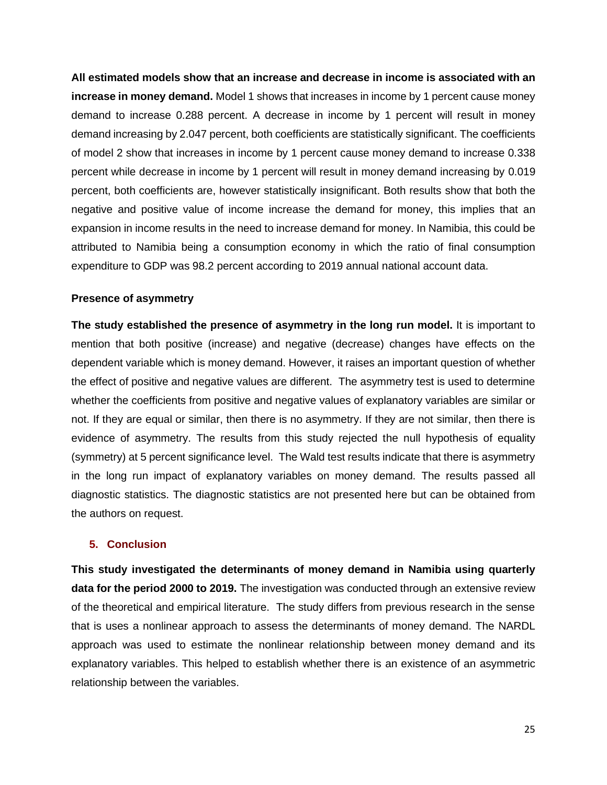**All estimated models show that an increase and decrease in income is associated with an increase in money demand.** Model 1 shows that increases in income by 1 percent cause money demand to increase 0.288 percent. A decrease in income by 1 percent will result in money demand increasing by 2.047 percent, both coefficients are statistically significant. The coefficients of model 2 show that increases in income by 1 percent cause money demand to increase 0.338 percent while decrease in income by 1 percent will result in money demand increasing by 0.019 percent, both coefficients are, however statistically insignificant. Both results show that both the negative and positive value of income increase the demand for money, this implies that an expansion in income results in the need to increase demand for money. In Namibia, this could be attributed to Namibia being a consumption economy in which the ratio of final consumption expenditure to GDP was 98.2 percent according to 2019 annual national account data.

#### **Presence of asymmetry**

**The study established the presence of asymmetry in the long run model.** It is important to mention that both positive (increase) and negative (decrease) changes have effects on the dependent variable which is money demand. However, it raises an important question of whether the effect of positive and negative values are different. The asymmetry test is used to determine whether the coefficients from positive and negative values of explanatory variables are similar or not. If they are equal or similar, then there is no asymmetry. If they are not similar, then there is evidence of asymmetry. The results from this study rejected the null hypothesis of equality (symmetry) at 5 percent significance level. The Wald test results indicate that there is asymmetry in the long run impact of explanatory variables on money demand. The results passed all diagnostic statistics. The diagnostic statistics are not presented here but can be obtained from the authors on request.

#### <span id="page-24-0"></span>**5. Conclusion**

**This study investigated the determinants of money demand in Namibia using quarterly data for the period 2000 to 2019.** The investigation was conducted through an extensive review of the theoretical and empirical literature. The study differs from previous research in the sense that is uses a nonlinear approach to assess the determinants of money demand. The NARDL approach was used to estimate the nonlinear relationship between money demand and its explanatory variables. This helped to establish whether there is an existence of an asymmetric relationship between the variables.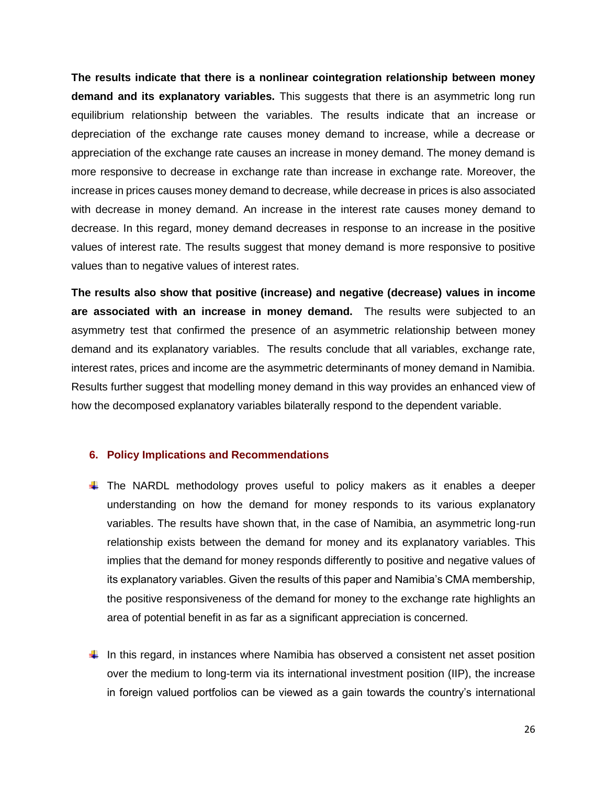**The results indicate that there is a nonlinear cointegration relationship between money demand and its explanatory variables.** This suggests that there is an asymmetric long run equilibrium relationship between the variables. The results indicate that an increase or depreciation of the exchange rate causes money demand to increase, while a decrease or appreciation of the exchange rate causes an increase in money demand. The money demand is more responsive to decrease in exchange rate than increase in exchange rate. Moreover, the increase in prices causes money demand to decrease, while decrease in prices is also associated with decrease in money demand. An increase in the interest rate causes money demand to decrease. In this regard, money demand decreases in response to an increase in the positive values of interest rate. The results suggest that money demand is more responsive to positive values than to negative values of interest rates.

**The results also show that positive (increase) and negative (decrease) values in income are associated with an increase in money demand.** The results were subjected to an asymmetry test that confirmed the presence of an asymmetric relationship between money demand and its explanatory variables. The results conclude that all variables, exchange rate, interest rates, prices and income are the asymmetric determinants of money demand in Namibia. Results further suggest that modelling money demand in this way provides an enhanced view of how the decomposed explanatory variables bilaterally respond to the dependent variable.

#### <span id="page-25-0"></span>**6. Policy Implications and Recommendations**

- $\ddot$  The NARDL methodology proves useful to policy makers as it enables a deeper understanding on how the demand for money responds to its various explanatory variables. The results have shown that, in the case of Namibia, an asymmetric long-run relationship exists between the demand for money and its explanatory variables. This implies that the demand for money responds differently to positive and negative values of its explanatory variables. Given the results of this paper and Namibia's CMA membership, the positive responsiveness of the demand for money to the exchange rate highlights an area of potential benefit in as far as a significant appreciation is concerned.
- In this regard, in instances where Namibia has observed a consistent net asset position over the medium to long-term via its international investment position (IIP), the increase in foreign valued portfolios can be viewed as a gain towards the country's international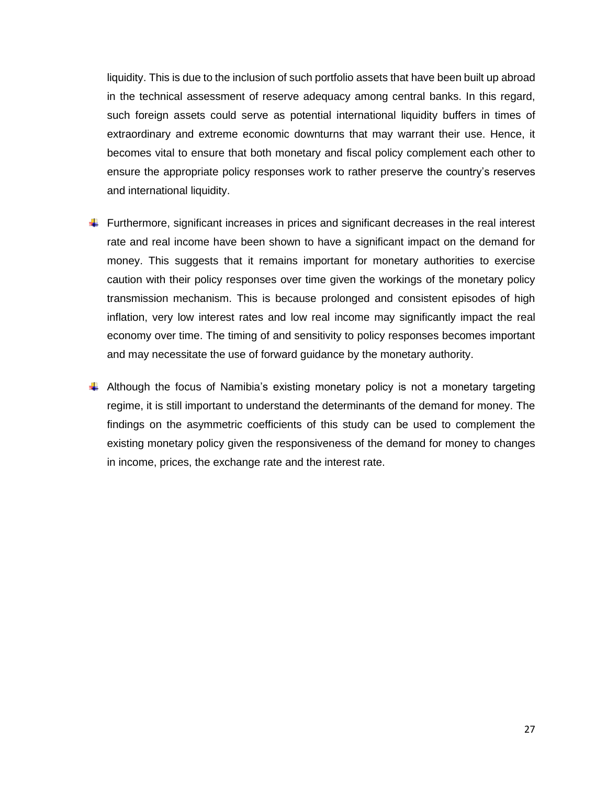liquidity. This is due to the inclusion of such portfolio assets that have been built up abroad in the technical assessment of reserve adequacy among central banks. In this regard, such foreign assets could serve as potential international liquidity buffers in times of extraordinary and extreme economic downturns that may warrant their use. Hence, it becomes vital to ensure that both monetary and fiscal policy complement each other to ensure the appropriate policy responses work to rather preserve the country's reserves and international liquidity.

- Furthermore, significant increases in prices and significant decreases in the real interest rate and real income have been shown to have a significant impact on the demand for money. This suggests that it remains important for monetary authorities to exercise caution with their policy responses over time given the workings of the monetary policy transmission mechanism. This is because prolonged and consistent episodes of high inflation, very low interest rates and low real income may significantly impact the real economy over time. The timing of and sensitivity to policy responses becomes important and may necessitate the use of forward guidance by the monetary authority.
- $\downarrow$  Although the focus of Namibia's existing monetary policy is not a monetary targeting regime, it is still important to understand the determinants of the demand for money. The findings on the asymmetric coefficients of this study can be used to complement the existing monetary policy given the responsiveness of the demand for money to changes in income, prices, the exchange rate and the interest rate.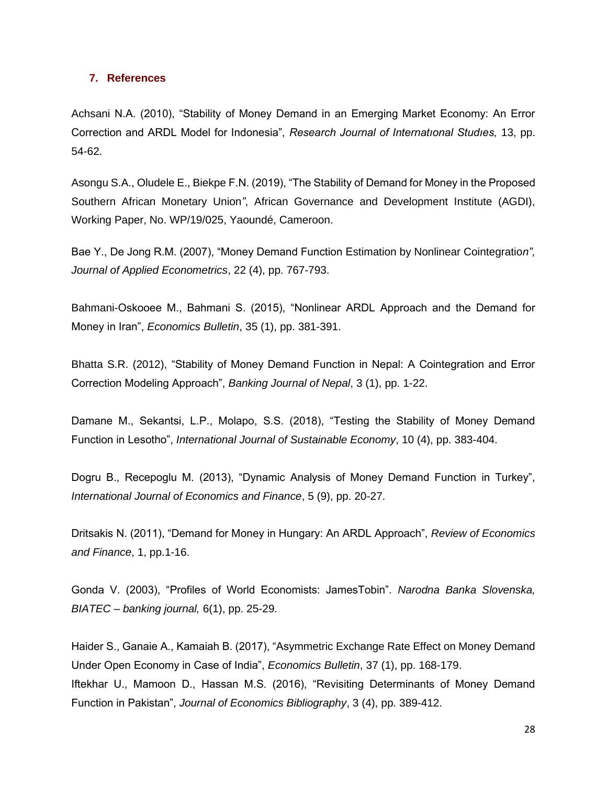#### <span id="page-27-0"></span>**7. References**

Achsani N.A. (2010), "Stability of Money Demand in an Emerging Market Economy: An Error Correction and ARDL Model for Indonesia", *Research Journal of Internatıonal Studıes,* 13, pp. 54-62.

Asongu S.A., Oludele E., Biekpe F.N. (2019), "The Stability of Demand for Money in the Proposed Southern African Monetary Union*"*, African Governance and Development Institute (AGDI), Working Paper, No. WP/19/025, Yaoundé, Cameroon.

Bae Y., De Jong R.M. (2007), "Money Demand Function Estimation by Nonlinear Cointegratio*n", Journal of Applied Econometrics*, 22 (4), pp. 767-793.

Bahmani-Oskooee M., Bahmani S. (2015), "Nonlinear ARDL Approach and the Demand for Money in Iran", *Economics Bulletin*, 35 (1), pp. 381-391.

Bhatta S.R. (2012), "Stability of Money Demand Function in Nepal: A Cointegration and Error Correction Modeling Approach", *Banking Journal of Nepal*, 3 (1), pp. 1-22.

Damane M., Sekantsi, L.P., Molapo, S.S. (2018), "Testing the Stability of Money Demand Function in Lesotho", *International Journal of Sustainable Economy*, 10 (4), pp. 383-404.

Dogru B., Recepoglu M. (2013), "Dynamic Analysis of Money Demand Function in Turkey", *International Journal of Economics and Finance*, 5 (9), pp. 20-27.

Dritsakis N. (2011), "Demand for Money in Hungary: An ARDL Approach", *Review of Economics and Finance*, 1, pp.1-16.

Gonda V. (2003), "Profiles of World Economists: JamesTobin". *Narodna Banka Slovenska, BIATEC – banking journal,* 6(1), pp. 25-29.

Haider S., Ganaie A., Kamaiah B. (2017), "Asymmetric Exchange Rate Effect on Money Demand Under Open Economy in Case of India", *Economics Bulletin*, 37 (1), pp. 168-179.

Iftekhar U., Mamoon D., Hassan M.S. (2016), "Revisiting Determinants of Money Demand Function in Pakistan", *Journal of Economics Bibliography*, 3 (4), pp. 389-412.

28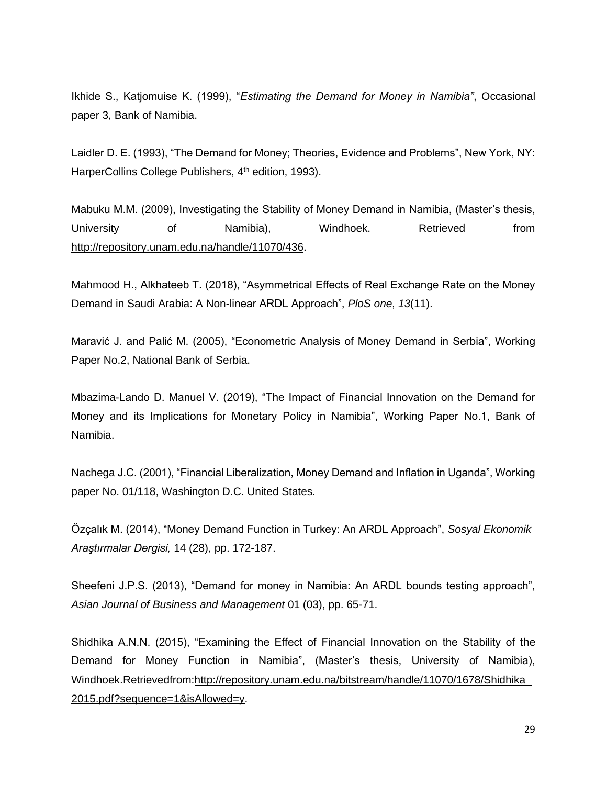Ikhide S., Katjomuise K. (1999), "*Estimating the Demand for Money in Namibia"*, Occasional paper 3, Bank of Namibia.

Laidler D. E. (1993), "The Demand for Money; Theories, Evidence and Problems", New York, NY: HarperCollins College Publishers, 4<sup>th</sup> edition, 1993).

Mabuku M.M. (2009), Investigating the Stability of Money Demand in Namibia, (Master's thesis, University of Namibia), Windhoek. Retrieved from [http://repository.unam.edu.na/handle/11070/436.](http://repository.unam.edu.na/handle/11070/436)

Mahmood H., Alkhateeb T. (2018), "Asymmetrical Effects of Real Exchange Rate on the Money Demand in Saudi Arabia: A Non-linear ARDL Approach", *PloS one*, *13*(11).

Maravić J. and Palić M. (2005), "Econometric Analysis of Money Demand in Serbia", Working Paper No.2, National Bank of Serbia.

Mbazima-Lando D. Manuel V. (2019), "The Impact of Financial Innovation on the Demand for Money and its Implications for Monetary Policy in Namibia", Working Paper No.1, Bank of Namibia.

Nachega J.C. (2001), "Financial Liberalization, Money Demand and Inflation in Uganda", Working paper No. 01/118, Washington D.C. United States.

Özçalık M. (2014), "Money Demand Function in Turkey: An ARDL Approach", *Sosyal Ekonomik Araştırmalar Dergisi,* 14 (28), pp. 172-187.

Sheefeni J.P.S. (2013), "Demand for money in Namibia: An ARDL bounds testing approach", *Asian Journal of Business and Management* 01 (03), pp. 65-71.

Shidhika A.N.N. (2015), "Examining the Effect of Financial Innovation on the Stability of the Demand for Money Function in Namibia", (Master's thesis, University of Namibia), Windhoek.Retrievedfrom[:http://repository.unam.edu.na/bitstream/handle/11070/1678/Shidhika\\_](http://repository.unam.edu.na/bitstream/handle/11070/1678/Shidhika_2015.pdf?sequence=1&isAllowed=y) [2015.pdf?sequence=1&isAllowed=y.](http://repository.unam.edu.na/bitstream/handle/11070/1678/Shidhika_2015.pdf?sequence=1&isAllowed=y)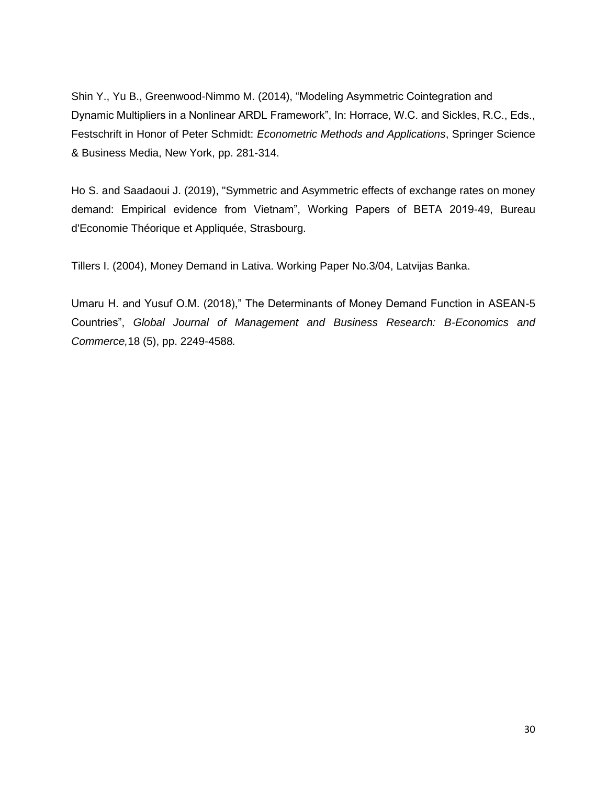Shin Y., Yu B., Greenwood-Nimmo M. (2014), "Modeling Asymmetric Cointegration and Dynamic Multipliers in a Nonlinear ARDL Framework", In: Horrace, W.C. and Sickles, R.C., Eds., Festschrift in Honor of Peter Schmidt: *Econometric Methods and Applications*, Springer Science & Business Media, New York, pp. 281-314.

Ho S. and Saadaoui J. (2019), "Symmetric and Asymmetric effects of exchange rates on money demand: Empirical evidence from Vietnam", Working Papers of BETA 2019-49, Bureau d'Economie Théorique et Appliquée, Strasbourg.

Tillers I. (2004), Money Demand in Lativa. Working Paper No.3/04, Latvijas Banka.

Umaru H. and Yusuf O.M. (2018)," The Determinants of Money Demand Function in ASEAN-5 Countries", *Global Journal of Management and Business Research: B-Economics and Commerce,*18 (5), pp. 2249-4588*.*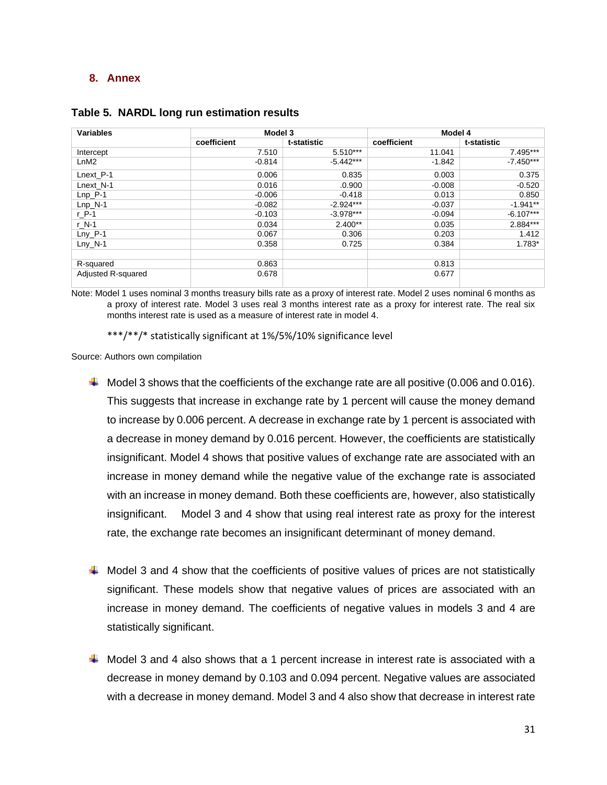#### <span id="page-30-0"></span>**8. Annex**

| <b>Variables</b>   | Model 3     |             | Model 4     |             |  |
|--------------------|-------------|-------------|-------------|-------------|--|
|                    | coefficient | t-statistic | coefficient | t-statistic |  |
| Intercept          | 7.510       | $5.510***$  | 11.041      | 7.495***    |  |
| LnM <sub>2</sub>   | $-0.814$    | $-5.442***$ | $-1.842$    | $-7.450***$ |  |
| Lnext P-1          | 0.006       | 0.835       | 0.003       | 0.375       |  |
| Lnext N-1          | 0.016       | .0.900      | $-0.008$    | $-0.520$    |  |
| $Lnp_P-1$          | $-0.006$    | $-0.418$    | 0.013       | 0.850       |  |
| $Lnp_N-1$          | $-0.082$    | $-2.924***$ | $-0.037$    | $-1.941**$  |  |
| $r_P-1$            | $-0.103$    | $-3.978***$ | $-0.094$    | $-6.107***$ |  |
| $r$ _N-1           | 0.034       | $2.400**$   | 0.035       | 2.884***    |  |
| $Lny_P-1$          | 0.067       | 0.306       | 0.203       | 1.412       |  |
| $Lny_N-1$          | 0.358       | 0.725       | 0.384       | 1.783*      |  |
|                    |             |             |             |             |  |
| R-squared          | 0.863       |             | 0.813       |             |  |
| Adjusted R-squared | 0.678       |             | 0.677       |             |  |

#### **Table 5. NARDL long run estimation results**

Note: Model 1 uses nominal 3 months treasury bills rate as a proxy of interest rate. Model 2 uses nominal 6 months as a proxy of interest rate. Model 3 uses real 3 months interest rate as a proxy for interest rate. The real six months interest rate is used as a measure of interest rate in model 4.

\*\*\*/\*\*/\* statistically significant at 1%/5%/10% significance level

Source: Authors own compilation

- $\downarrow$  Model 3 shows that the coefficients of the exchange rate are all positive (0.006 and 0.016). This suggests that increase in exchange rate by 1 percent will cause the money demand to increase by 0.006 percent. A decrease in exchange rate by 1 percent is associated with a decrease in money demand by 0.016 percent. However, the coefficients are statistically insignificant. Model 4 shows that positive values of exchange rate are associated with an increase in money demand while the negative value of the exchange rate is associated with an increase in money demand. Both these coefficients are, however, also statistically insignificant. Model 3 and 4 show that using real interest rate as proxy for the interest rate, the exchange rate becomes an insignificant determinant of money demand.
- $\ddot{\phantom{1}}$  Model 3 and 4 show that the coefficients of positive values of prices are not statistically significant. These models show that negative values of prices are associated with an increase in money demand. The coefficients of negative values in models 3 and 4 are statistically significant.
- $\ddot{\bullet}$  Model 3 and 4 also shows that a 1 percent increase in interest rate is associated with a decrease in money demand by 0.103 and 0.094 percent. Negative values are associated with a decrease in money demand. Model 3 and 4 also show that decrease in interest rate